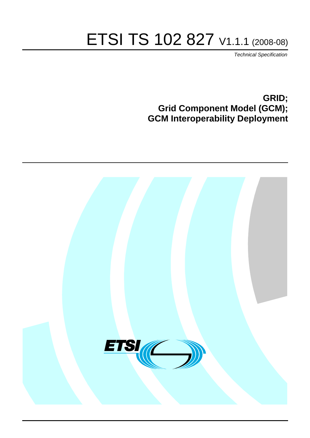# ETSI TS 102 827 V1.1.1 (2008-08)

*Technical Specification*

**GRID; Grid Component Model (GCM); GCM Interoperability Deployment**

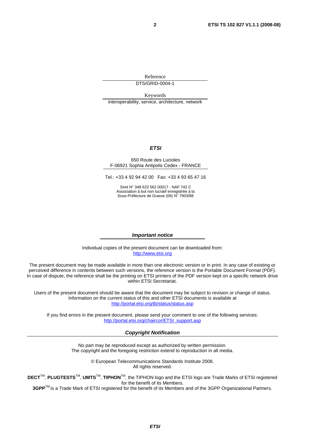Reference DTS/GRID-0004-1

Keywords interoperability, service, architecture, network

#### *ETSI*

#### 650 Route des Lucioles F-06921 Sophia Antipolis Cedex - FRANCE

Tel.: +33 4 92 94 42 00 Fax: +33 4 93 65 47 16

Siret N° 348 623 562 00017 - NAF 742 C Association à but non lucratif enregistrée à la Sous-Préfecture de Grasse (06) N° 7803/88

#### *Important notice*

Individual copies of the present document can be downloaded from: [http://www.etsi.org](http://www.etsi.org/)

The present document may be made available in more than one electronic version or in print. In any case of existing or perceived difference in contents between such versions, the reference version is the Portable Document Format (PDF). In case of dispute, the reference shall be the printing on ETSI printers of the PDF version kept on a specific network drive within ETSI Secretariat.

Users of the present document should be aware that the document may be subject to revision or change of status. Information on the current status of this and other ETSI documents is available at <http://portal.etsi.org/tb/status/status.asp>

If you find errors in the present document, please send your comment to one of the following services: [http://portal.etsi.org/chaircor/ETSI\\_support.asp](http://portal.etsi.org/chaircor/ETSI_support.asp)

#### *Copyright Notification*

No part may be reproduced except as authorized by written permission. The copyright and the foregoing restriction extend to reproduction in all media.

> © European Telecommunications Standards Institute 2008. All rights reserved.

**DECT**TM, **PLUGTESTS**TM, **UMTS**TM, **TIPHON**TM, the TIPHON logo and the ETSI logo are Trade Marks of ETSI registered for the benefit of its Members.

**3GPP**TM is a Trade Mark of ETSI registered for the benefit of its Members and of the 3GPP Organizational Partners.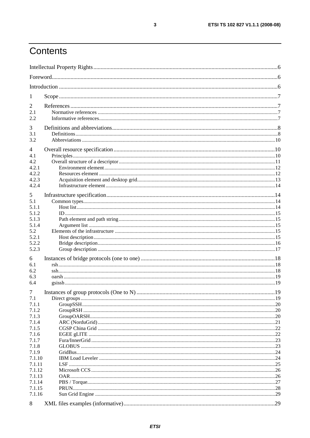# Contents

| 1                |  |  |  |  |
|------------------|--|--|--|--|
| 2                |  |  |  |  |
| 2.1              |  |  |  |  |
| 2.2              |  |  |  |  |
| 3                |  |  |  |  |
| 3.1              |  |  |  |  |
| 3.2              |  |  |  |  |
| 4                |  |  |  |  |
| 4.1              |  |  |  |  |
| 4.2              |  |  |  |  |
| 4.2.1            |  |  |  |  |
| 4.2.2            |  |  |  |  |
| 4.2.3<br>4.2.4   |  |  |  |  |
|                  |  |  |  |  |
| 5                |  |  |  |  |
| 5.1              |  |  |  |  |
| 5.1.1            |  |  |  |  |
| 5.1.2            |  |  |  |  |
| 5.1.3<br>5.1.4   |  |  |  |  |
| 5.2              |  |  |  |  |
| 5.2.1            |  |  |  |  |
| 5.2.2            |  |  |  |  |
| 5.2.3            |  |  |  |  |
| 6                |  |  |  |  |
| 6.1              |  |  |  |  |
| 6.2              |  |  |  |  |
| 6.3              |  |  |  |  |
| 6.4              |  |  |  |  |
| 7                |  |  |  |  |
| 7.1<br>7.1.1     |  |  |  |  |
| 7.1.2            |  |  |  |  |
| 7.1.3            |  |  |  |  |
| 7.1.4            |  |  |  |  |
| 7.1.5            |  |  |  |  |
| 7.1.6            |  |  |  |  |
| 7.1.7            |  |  |  |  |
| 7.1.8            |  |  |  |  |
| 7.1.9            |  |  |  |  |
| 7.1.10           |  |  |  |  |
| 7.1.11<br>7.1.12 |  |  |  |  |
| 7.1.13           |  |  |  |  |
| 7.1.14           |  |  |  |  |
| 7.1.15           |  |  |  |  |
| 7.1.16           |  |  |  |  |
| 8                |  |  |  |  |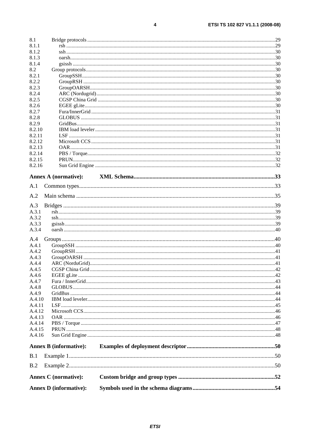| 8.1                         |                               |  |  |  |
|-----------------------------|-------------------------------|--|--|--|
| 8.1.1                       |                               |  |  |  |
| 8.1.2                       |                               |  |  |  |
| 8.1.3                       |                               |  |  |  |
| 8.1.4                       |                               |  |  |  |
| 8.2                         |                               |  |  |  |
| 8.2.1                       |                               |  |  |  |
| 8.2.2                       |                               |  |  |  |
| 8.2.3                       |                               |  |  |  |
| 8.2.4                       |                               |  |  |  |
| 8.2.5                       |                               |  |  |  |
| 8.2.6                       |                               |  |  |  |
| 8.2.7                       |                               |  |  |  |
| 8.2.8                       |                               |  |  |  |
| 8.2.9                       |                               |  |  |  |
| 8.2.10<br>8.2.11            |                               |  |  |  |
| 8.2.12                      |                               |  |  |  |
| 8.2.13                      |                               |  |  |  |
| 8.2.14                      |                               |  |  |  |
| 8.2.15                      |                               |  |  |  |
| 8.2.16                      |                               |  |  |  |
|                             |                               |  |  |  |
|                             | <b>Annex A (normative):</b>   |  |  |  |
| A.1                         |                               |  |  |  |
|                             |                               |  |  |  |
| A.2                         |                               |  |  |  |
| A.3                         |                               |  |  |  |
| A.3.1                       |                               |  |  |  |
| A.3.2                       |                               |  |  |  |
| A.3.3                       |                               |  |  |  |
| A.3.4                       |                               |  |  |  |
| A.4                         |                               |  |  |  |
| A.4.1                       |                               |  |  |  |
| A.4.2                       |                               |  |  |  |
| A.4.3                       |                               |  |  |  |
| A.4.4                       |                               |  |  |  |
| A.4.5                       |                               |  |  |  |
| A.4.6                       |                               |  |  |  |
| A.4.7                       |                               |  |  |  |
| A.4.8                       |                               |  |  |  |
| A.4.9                       |                               |  |  |  |
| A.4.10                      |                               |  |  |  |
| A.4.11                      |                               |  |  |  |
| A.4.12                      |                               |  |  |  |
| A.4.13                      |                               |  |  |  |
| A.4.14                      |                               |  |  |  |
| A.4.15                      |                               |  |  |  |
| A.4.16                      |                               |  |  |  |
|                             | <b>Annex B</b> (informative): |  |  |  |
| B.1                         |                               |  |  |  |
|                             |                               |  |  |  |
| B.2                         |                               |  |  |  |
| <b>Annex C</b> (normative): |                               |  |  |  |
|                             | <b>Annex D</b> (informative): |  |  |  |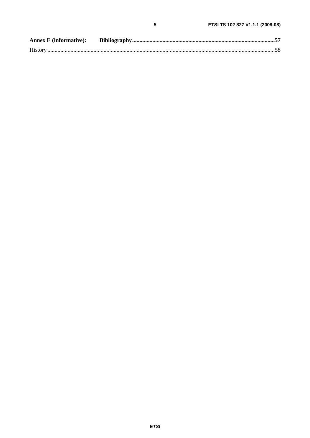| <b>Annex E</b> (informative): |  |
|-------------------------------|--|
|                               |  |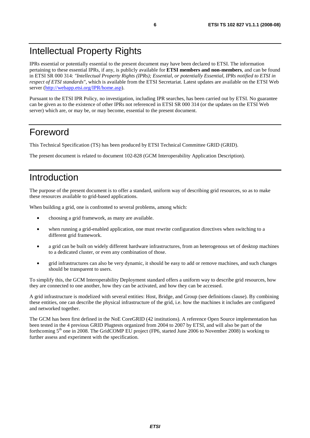### Intellectual Property Rights

IPRs essential or potentially essential to the present document may have been declared to ETSI. The information pertaining to these essential IPRs, if any, is publicly available for **ETSI members and non-members**, and can be found in ETSI SR 000 314: *"Intellectual Property Rights (IPRs); Essential, or potentially Essential, IPRs notified to ETSI in respect of ETSI standards"*, which is available from the ETSI Secretariat. Latest updates are available on the ETSI Web server (<http://webapp.etsi.org/IPR/home.asp>).

Pursuant to the ETSI IPR Policy, no investigation, including IPR searches, has been carried out by ETSI. No guarantee can be given as to the existence of other IPRs not referenced in ETSI SR 000 314 (or the updates on the ETSI Web server) which are, or may be, or may become, essential to the present document.

### Foreword

This Technical Specification (TS) has been produced by ETSI Technical Committee GRID (GRID).

The present document is related to document 102-828 (GCM Interoperability Application Description).

### Introduction

The purpose of the present document is to offer a standard, uniform way of describing grid resources, so as to make these resources available to grid-based applications.

When building a grid, one is confronted to several problems, among which:

- choosing a grid framework, as many are available.
- when running a grid-enabled application, one must rewrite configuration directives when switching to a different grid framework.
- a grid can be built on widely different hardware infrastructures, from an heterogenous set of desktop machines to a dedicated cluster, or even any combination of those.
- grid infrastructures can also be very dynamic, it should be easy to add or remove machines, and such changes should be transparent to users.

To simplify this, the GCM Interoperability Deployment standard offers a uniform way to describe grid resources, how they are connected to one another, how they can be activated, and how they can be accessed.

A grid infrastructure is modelized with several entities: Host, Bridge, and Group (see definitions clause). By combining these entities, one can describe the physical infrastructure of the grid, i.e. how the machines it includes are configured and networked together.

The GCM has been first defined in the NoE CoreGRID (42 institutions). A reference Open Source implementation has been tested in the 4 previous GRID Plugtests organized from 2004 to 2007 by ETSI, and will also be part of the forthcoming  $5<sup>th</sup>$  one in 2008. The GridCOMP EU project (FP6, started June 2006 to November 2008) is working to further assess and experiment with the specification.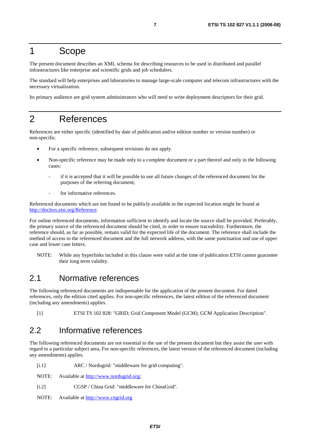### 1 Scope

The present document describes an XML schema for describing resources to be used in distributed and parallel infrastructures like enterprise and scientific grids and job schedulers.

The standard will help enterprises and laboratories to manage large-scale computer and telecom infrastructures with the necessary virtualization.

Its primary audience are grid system administrators who will need to write deployment descriptors for their grid.

### 2 References

References are either specific (identified by date of publication and/or edition number or version number) or non-specific.

- For a specific reference, subsequent revisions do not apply.
- Non-specific reference may be made only to a complete document or a part thereof and only in the following cases:
	- if it is accepted that it will be possible to use all future changes of the referenced document for the purposes of the referring document;
	- for informative references.

Referenced documents which are not found to be publicly available in the expected location might be found at [http://docbox.etsi.org/Reference.](http://docbox.etsi.org/Reference)

For online referenced documents, information sufficient to identify and locate the source shall be provided. Preferably, the primary source of the referenced document should be cited, in order to ensure traceability. Furthermore, the reference should, as far as possible, remain valid for the expected life of the document. The reference shall include the method of access to the referenced document and the full network address, with the same punctuation and use of upper case and lower case letters.

NOTE: While any hyperlinks included in this clause were valid at the time of publication ETSI cannot guarantee their long term validity.

#### 2.1 Normative references

The following referenced documents are indispensable for the application of the present document. For dated references, only the edition cited applies. For non-specific references, the latest edition of the referenced document (including any amendments) applies.

[1] ETSI TS 102 828: "GRID; Grid Component Model (GCM); GCM Application Description".

### 2.2 Informative references

The following referenced documents are not essential to the use of the present document but they assist the user with regard to a particular subject area**.** For non-specific references, the latest version of the referenced document (including any amendments) applies.

- [i.1] ARC / Nordugrid: "middleware for grid computing".
- NOTE: Available at [http://www.nordugrid.org/.](http://www.nordugrid.org/)
- [i.2] CGSP / China Grid: "middleware for ChinaGrid".
- NOTE: Available at [http://www.cngrid.org](http://www.cngrid.org/)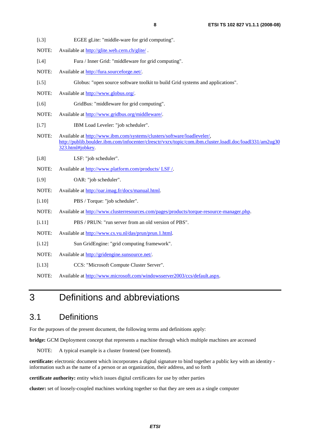- [i.3] EGEE gLite: "middle-ware for grid computing".
- NOTE: Available at<http://glite.web.cern.ch/glite/> .
- [i.4] Fura / Inner Grid: "middleware for grid computing".
- NOTE: Available at [http://fura.sourceforge.net/.](http://fura.sourceforge.net/)
- [i.5] Globus: "open source software toolkit to build Grid systems and applications".
- NOTE: Available at [http://www.globus.org/.](http://www.globus.org/)
- [i.6] GridBus: "middleware for grid computing".
- NOTE: Available at<http://www.gridbus.org/middleware/>.
- [i.7] IBM Load Leveler: "job scheduler".
- NOTE: Available at [http://www.ibm.com/systems/clusters/software/loadleveler/,](http://www.ibm.com/systems/clusters/software/loadleveler/) [http://publib.boulder.ibm.com/infocenter/clresctr/vxrx/topic/com.ibm.cluster.loadl.doc/loadl331/am2ug30](http://publib.boulder.ibm.com/infocenter/clresctr/vxrx/topic/com.ibm.cluster.loadl.doc/loadl331/am2ug30323.html) [323.html#jobkey](http://publib.boulder.ibm.com/infocenter/clresctr/vxrx/topic/com.ibm.cluster.loadl.doc/loadl331/am2ug30323.html).
- [i.8] LSF: "job scheduler".
- NOTE: Available at [http://www.platform.com/products/ LSF /](http://www.platform.com/products/%20LSF%20/).
- [i.9] OAR: "job scheduler".
- NOTE: Available at [http://oar.imag.fr/docs/manual.html.](http://oar.imag.fr/docs/manual.html)
- [i.10] PBS / Torque: "job scheduler".
- NOTE: Available at<http://www.clusterresources.com/pages/products/torque-resource-manager.php>.
- [i.11] PBS / PRUN: "run server from an old version of PBS".
- NOTE: Available at<http://www.cs.vu.nl/das/prun/prun.1.html>.
- [i.12] Sun GridEngine: "grid computing framework".
- NOTE: Available at [http://gridengine.sunsource.net/.](http://gridengine.sunsource.net/)
- [i.13] CCS: "Microsoft Compute Cluster Server".
- NOTE: Available at<http://www.microsoft.com/windowsserver2003/ccs/default.aspx>.

### 3 Definitions and abbreviations

### 3.1 Definitions

For the purposes of the present document, the following terms and definitions apply:

**bridge:** GCM Deployment concept that represents a machine through which multiple machines are accessed

NOTE: A typical example is a cluster frontend (see frontend).

**certificate:** electronic document which incorporates a digital signature to bind together a public key with an identity information such as the name of a person or an organization, their address, and so forth

**certificate authority:** entity which issues digital certificates for use by other parties

**cluster:** set of loosely-coupled machines working together so that they are seen as a single computer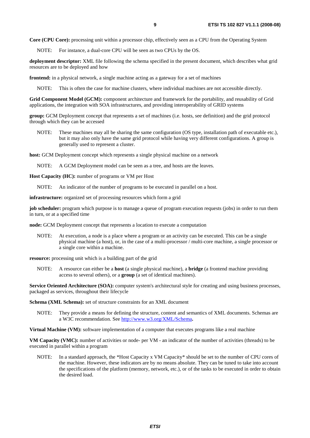**Core (CPU Core):** processing unit within a processor chip, effectively seen as a CPU from the Operating System

NOTE: For instance, a dual-core CPU will be seen as two CPUs by the OS.

**deployment descriptor:** XML file following the schema specified in the present document, which describes what grid resources are to be deployed and how

**frontend:** in a physical network, a single machine acting as a gateway for a set of machines

NOTE: This is often the case for machine clusters, where individual machines are not accessible directly.

Grid Component Model (GCM): component architecture and framework for the portability, and reusability of Grid applications, the integration with SOA infrastructures, and providing interoperability of GRID systems

**group:** GCM Deployment concept that represents a set of machines (i.e. hosts, see definition) and the grid protocol through which they can be accessed

NOTE: These machines may all be sharing the same configuration (OS type, installation path of executable etc.), but it may also only have the same grid protocol while having very different configurations. A group is generally used to represent a cluster.

**host:** GCM Deployment concept which represents a single physical machine on a network

NOTE: A GCM Deployment model can be seen as a tree, and hosts are the leaves.

**Host Capacity (HC):** number of programs or VM per Host

NOTE: An indicator of the number of programs to be executed in parallel on a host.

**infrastructure:** organized set of processing resources which form a grid

**job scheduler:** program which purpose is to manage a queue of program execution requests (jobs) in order to run them in turn, or at a specified time

**node:** GCM Deployment concept that represents a location to execute a computation

NOTE: At execution, a node is a place where a program or an activity can be executed. This can be a single physical machine (a host), or, in the case of a multi-processor / multi-core machine, a single processor or a single core within a machine.

**resource:** processing unit which is a building part of the grid

NOTE: A resource can either be a **host** (a single physical machine), a **bridge** (a frontend machine providing access to several others), or a **group** (a set of identical machines).

**Service Oriented Architecture (SOA):** computer system's architectural style for creating and using business processes, packaged as services, throughout their lifecycle

**Schema (XML Schema):** set of structure constraints for an XML document

NOTE: They provide a means for defining the structure, content and semantics of XML documents. Schemas are a W3C recommendation. See <http://www.w3.org/XML/Schema>**.** 

**Virtual Machine (VM):** software implementation of a computer that executes programs like a real machine

**VM Capacity (VMC):** number of activities or node- per VM - an indicator of the number of activities (threads) to be executed in parallel within a program

NOTE: In a standard approach, the \*Host Capacity x VM Capacity\* should be set to the number of CPU cores of the machine. However, these indicators are by no means absolute. They can be tuned to take into account the specifications of the platform (memory, network, etc.), or of the tasks to be executed in order to obtain the desired load.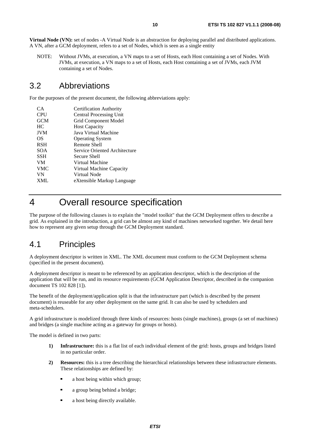**Virtual Node (VN):** set of nodes -A Virtual Node is an abstraction for deploying parallel and distributed applications. A VN, after a GCM deployment, refers to a set of Nodes, which is seen as a single entity

NOTE: Without JVMs, at execution, a VN maps to a set of Hosts, each Host containing a set of Nodes. With JVMs, at execution, a VN maps to a set of Hosts, each Host containing a set of JVMs, each JVM containing a set of Nodes.

### 3.2 Abbreviations

For the purposes of the present document, the following abbreviations apply:

| CA.        | <b>Certification Authority</b> |
|------------|--------------------------------|
| <b>CPU</b> | <b>Central Processing Unit</b> |
| <b>GCM</b> | Grid Component Model           |
| HC         | <b>Host Capacity</b>           |
| <b>JVM</b> | Java Virtual Machine           |
| OS         | <b>Operating System</b>        |
| <b>RSH</b> | Remote Shell                   |
| <b>SOA</b> | Service Oriented Architecture  |
| <b>SSH</b> | Secure Shell                   |
| <b>VM</b>  | Virtual Machine                |
| <b>VMC</b> | Virtual Machine Capacity       |
| VN         | Virtual Node                   |
| XML        | eXtensible Markup Language     |

# 4 Overall resource specification

The purpose of the following clauses is to explain the "model toolkit" that the GCM Deployment offers to describe a grid. As explained in the introduction, a grid can be almost any kind of machines networked together. We detail here how to represent any given setup through the GCM Deployment standard.

### 4.1 Principles

A deployment descriptor is written in XML. The XML document must conform to the GCM Deployment schema (specified in the present document).

A deployment descriptor is meant to be referenced by an application descriptor, which is the description of the application that will be run, and its resource requirements (GCM Application Descriptor, described in the companion document TS 102 828 [1]).

The benefit of the deployment/application split is that the infrastructure part (which is described by the present document) is reuseable for any other deployment on the same grid. It can also be used by schedulers and meta-schedulers.

A grid infrastructure is modelized through three kinds of resources: hosts (single machines), groups (a set of machines) and bridges (a single machine acting as a gateway for groups or hosts).

The model is defined in two parts:

- **1) Infrastructure:** this is a flat list of each individual element of the grid: hosts, groups and bridges listed in no particular order.
- **2) Resources:** this is a tree describing the hierarchical relationships between these infrastructure elements. These relationships are defined by:
	- a host being within which group;
	- a group being behind a bridge;
	- a host being directly available.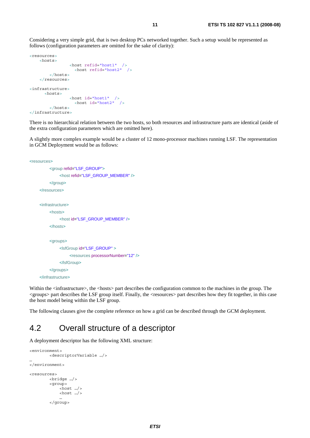Considering a very simple grid, that is two desktop PCs networked together. Such a setup would be represented as follows (configuration parameters are omitted for the sake of clarity):

```
<resources> 
    <hosts> 
                    <host refid="host1" /> 
                      <host refid="host2" /> 
          </hosts> 
    </resources> 
<infrastructure> 
       <hosts> 
                    <host id="host1" /> 
                     \text{const} id="host2" />
         \lambdahosts\lambda</infrastructure>
```
There is no hierarchical relation between the two hosts, so both resources and infrastructure parts are identical (aside of the extra configuration parameters which are omitted here).

A slightly more complex example would be a cluster of 12 mono-processor machines running LSF. The representation in GCM Deployment would be as follows:

```
<resources> 
           <group refid="LSF_GROUP"> 
               <host refid="LSF_GROUP_MEMBER" />
           </group> 
     </resources>
     <infrastructure> 
          <hosts>
               <host id="LSF_GROUP_MEMBER" />
           </hosts> 
           <groups> 
                <lsfGroup id="LSF_GROUP" > 
                     <resources processorNumber="12" /> 
                </lsfGroup> 
           </groups> 
     </infrastructure>
```
Within the <infrastructure>, the <hosts> part describes the configuration common to the machines in the group. The <groups> part describes the LSF group itself. Finally, the <resources> part describes how they fit together, in this case the host model being within the LSF group.

The following clauses give the complete reference on how a grid can be described through the GCM deployment.

### 4.2 Overall structure of a descriptor

A deployment descriptor has the following XML structure:

```
<environment> 
         <descriptorVariable …/> 
… 
</environment> 
<resources> 
         <bridge …/> 
         <group> 
             <host \ldots/>
             <host …/> 
 … 
         </group>
```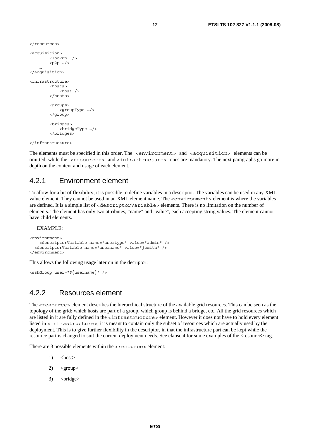```
 … 
</resources> 
<acquisition> 
          <lookup …/> 
          <p2p …/> 
 … 
</acquisition> 
<infrastructure> 
         <hosts> 
              <host…/> 
          </hosts> 
          <groups> 
             <groupType …/> 
          </group> 
          <bridges> 
             <bridgeType …/> 
          </bridges> 
 … 
</infrastructure>
```
The elements must be specified in this order. The  $\leq$ environment  $\geq$  and  $\leq$  acquisition  $\geq$  elements can be omitted, while the <resources> and <infrastructure> ones are mandatory. The next paragraphs go more in depth on the content and usage of each element.

#### 4.2.1 Environment element

To allow for a bit of flexibility, it is possible to define variables in a descriptor. The variables can be used in any XML value element. They cannot be used in an XML element name. The  $\le$ environment  $\ge$  element is where the variables are defined. It is a simple list of <descriptorVariable> elements. There is no limitation on the number of elements. The element has only two attributes, "name" and "value", each accepting string values. The element cannot have child elements.

#### EXAMPLE:

```
<environment> 
     <descriptorVariable name="usertype" value="admin" /> 
   <descriptorVariable name="username" value="jsmith" /> 
</environment>
```
This allows the following usage later on in the decriptor:

```
<sshGroup user="${username}" />
```
#### 4.2.2 Resources element

The <resource> element describes the hierarchical structure of the available grid resources. This can be seen as the topology of the grid: which hosts are part of a group, which group is behind a bridge, etc. All the grid resources which are listed in it are fully defined in the <infrastructure> element. However it does not have to hold every element listed in  $\le$ infrastructure>, it is meant to contain only the subset of resources which are actually used by the deployment. This is to give further flexibility in the descriptor, in that the infrastructure part can be kept while the resource part is changed to suit the current deployment needs. See clause 4 for some examples of the <resource> tag.

There are 3 possible elements within the <resource> element:

- $1)$  <host>
- $2)$  <group>
- 3) <br/>bridge>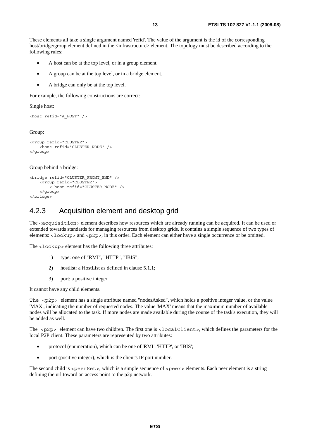These elements all take a single argument named 'refid'. The value of the argument is the id of the corresponding host/bridge/group element defined in the <infrastructure> element. The topology must be described according to the following rules:

- A host can be at the top level, or in a group element.
- A group can be at the top level, or in a bridge element.
- A bridge can only be at the top level.

For example, the following constructions are correct:

Single host:

```
<host refid="A_HOST" />
```
Group:

```
<group refid="CLUSTER"> 
     <host refid="CLUSTER_NODE" /> 
</group>
```
#### Group behind a bridge:

```
<bridge refid="CLUSTER_FRONT_END" /> 
     <group refid="CLUSTER"> 
         < host refid="CLUSTER_NODE" /> 
     </group> 
</bridge>
```
#### 4.2.3 Acquisition element and desktop grid

The <acquisition> element describes how resources which are already running can be acquired. It can be used or extended towards standards for managing resources from desktop grids. It contains a simple sequence of two types of elements: <lookup> and <p2p>, in this order. Each element can either have a single occurrence or be omitted.

The <lookup> element has the following three attributes:

- 1) type: one of "RMI", "HTTP", "IBIS";
- 2) hostlist: a HostList as defined in clause 5.1.1;
- 3) port: a positive integer.

It cannot have any child elements.

The <p2p> element has a single attribute named "nodesAsked", which holds a positive integer value, or the value 'MAX', indicating the number of requested nodes. The value 'MAX' means that the maximum number of available nodes will be allocated to the task. If more nodes are made available during the course of the task's execution, they will be added as well.

The <p2p> element can have two children. The first one is <localClient>, which defines the parameters for the local P2P client. These parameters are represented by two attributes:

- protocol (enumeration), which can be one of 'RMI', 'HTTP', or 'IBIS';
- port (positive integer), which is the client's IP port number.

The second child is <peerSet>, which is a simple sequence of <peer> elements. Each peer element is a string defining the url toward an access point to the p2p network.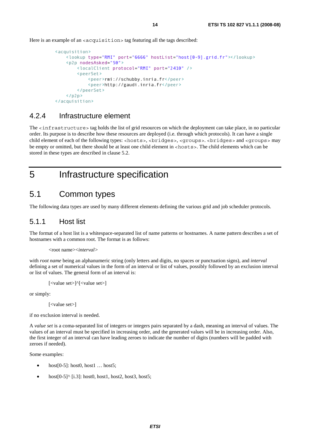Here is an example of an <acquisition> tag featuring all the tags described:

```
<acquisition>
    <lookup type="RMI" port="6666" hostList="host[0-9].grid.fr"></lookup>
    <p2p nodesAsked="50">
        <localClient protocol="RMI" port="2410" />
        CheerSet>
            <peer>rmi://schubby.inria.fr</peer>
            <peer>http://gaudi.inria.fr</peer>
        </peerSet>
    </p2p>
</acquisition>
```
#### 4.2.4 Infrastructure element

The <infrastructure> tag holds the list of grid resources on which the deployment can take place, in no particular order. Its purpose is to describe how these resources are deployed (i.e. through which protocols). It can have a single child element of each of the following types: <hosts>, <br/> <br/>didges>, <proups>. <br/><br/>shologyed and <proups> may be empty or omitted, but there should be at least one child element in <hosts>. The child elements which can be stored in these types are described in clause 5.2.

5 Infrastructure specification

#### 5.1 Common types

The following data types are used by many different elements defining the various grid and job scheduler protocols.

#### 5.1.1 Host list

The format of a host list is a whitespace-separated list of name patterns or hostnames. A name pattern describes a set of hostnames with a common root. The format is as follows:

```
<root name><interval>
```
with *root name* being an alphanumeric string (only letters and digits, no spaces or punctuation signs), and *interval* defining a set of numerical values in the form of an interval or list of values, possibly followed by an exclusion interval or list of values. The general form of an interval is:

```
[<value set>]^[<value set>]
```
or simply:

[<value set>]

if no exclusion interval is needed.

A *value set* is a coma-separated list of integers or integers pairs separated by a dash, meaning an interval of values. The values of an interval must be specified in increasing order, and the generated values will be in increasing order. Also, the first integer of an interval can have leading zeroes to indicate the number of digits (numbers will be padded with zeroes if needed).

Some examples:

- host $[0-5]$ : host $0,$  host $1 \ldots$  host $5;$
- host $[0-5]$ ^  $[i,3]$ : host $0$ , host $1$ , host $2$ , host $3$ , host $5$ ;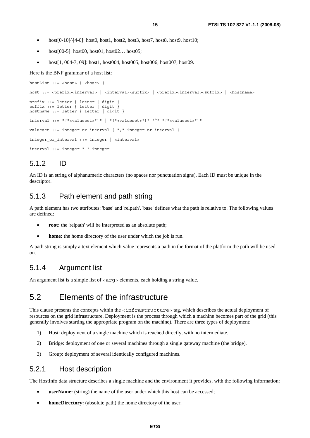- host $[0-10]$ <sup> $\wedge$ [4-6]: host0, host1, host2, host3, host7, host8, host9, host10;</sup>
- host $[00-5]$ : host $[00, \text{host01}, \text{host02}... \text{host05}$ ;
- host $[1, 004-7, 09]$ : host $1, \text{host004}, \text{host005}, \text{host006}, \text{host007}, \text{host09}.$

Here is the BNF grammar of a host list:

```
hostList ::= <host> { <host> }
host ::= <prefix><interval> | <interval><suffix> | <prefix><interval><suffix> | <hostname>
prefix ::= letter { letter | digit } 
suffix ::= letter \{ letter \}hostname  ::= letter { letter | digit }
interval ::= "["<valueset>"]" | "["<valueset>"]" "^" "["<valueset>"]"
valueset ::= integer or interval { "," integer_or_interval }integer or interval ::= integer | <interval>
interval ::= integer "-" integer
```
#### 5.1.2 ID

An ID is an string of alphanumeric characters (no spaces nor punctuation signs). Each ID must be unique in the descriptor.

#### 5.1.3 Path element and path string

A path element has two attributes: 'base' and 'relpath'. 'base' defines what the path is relative to. The following values are defined:

- **root:** the 'relpath' will be interpreted as an absolute path;
- **home:** the home directory of the user under which the job is run.

A path string is simply a text element which value represents a path in the format of the platform the path will be used on.

#### 5.1.4 Argument list

An argument list is a simple list of  $\langle \text{arg} \rangle$  elements, each holding a string value.

### 5.2 Elements of the infrastructure

This clause presents the concepts within the <infrastructure> tag, which describes the actual deployment of resources on the grid infrastructure. Deployment is the process through which a machine becomes part of the grid (this generally involves starting the appropriate program on the machine). There are three types of deployment:

- 1) Host: deployment of a single machine which is reached directly, with no intermediate.
- 2) Bridge: deployment of one or several machines through a single gateway machine (the bridge).
- 3) Group: deployment of several identically configured machines.

#### 5.2.1 Host description

The HostInfo data structure describes a single machine and the environment it provides, with the following information:

- **userName:** (string) the name of the user under which this host can be accessed;
- **homeDirectory:** (absolute path) the home directory of the user: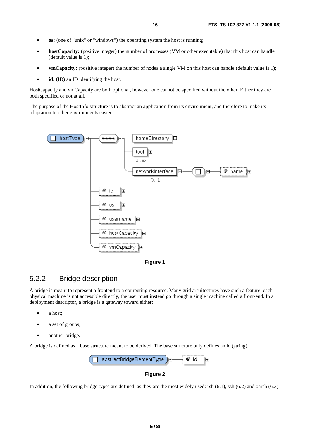- **os:** (one of "unix" or "windows") the operating system the host is running;
- **hostCapacity:** (positive integer) the number of processes (VM or other executable) that this host can handle (default value is 1);
- **vmCapacity:** (positive integer) the number of nodes a single VM on this host can handle (default value is 1);
- **id:** (ID) an ID identifying the host.

HostCapacity and vmCapacity are both optional, however one cannot be specified without the other. Either they are both specified or not at all.

The purpose of the HostInfo structure is to abstract an application from its environment, and therefore to make its adaptation to other environments easier.



**Figure 1** 

#### 5.2.2 Bridge description

A bridge is meant to represent a frontend to a computing resource. Many grid architectures have such a feature: each physical machine is not accessible directly, the user must instead go through a single machine called a front-end. In a deployment descriptor, a bridge is a gateway toward either:

- a host;
- a set of groups;
- another bridge.

A bridge is defined as a base structure meant to be derived. The base structure only defines an id (string).



**Figure 2** 

In addition, the following bridge types are defined, as they are the most widely used: rsh (6.1), ssh (6.2) and oarsh (6.3).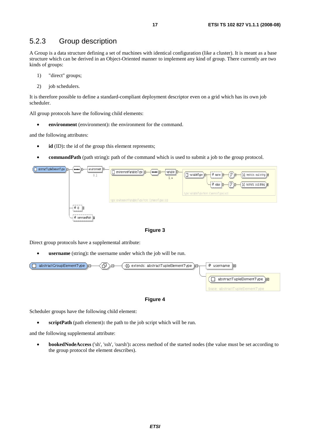#### 5.2.3 Group description

A Group is a data structure defining a set of machines with identical configuration (like a cluster). It is meant as a base structure which can be derived in an Object-Oriented manner to implement any kind of group. There currently are two kinds of groups:

- 1) "direct" groups;
- 2) job schedulers.

It is therefore possible to define a standard-compliant deployment descriptor even on a grid which has its own job scheduler.

All group protocols have the following child elements:

• **environment** (environment)**:** the environment for the command.

and the following attributes:

- **id** (ID): the id of the group this element represents:
- **commandPath** (path string)**:** path of the command which is used to submit a job to the group protocol.

| $(\hspace{0.1cm}\square\hspace{0.1cm}$ abstractTupleElementType $)$ $\boxdot$ $\text{--}$<br>environment <b>B</b> -<br>` <del>nn</del>  ⊕−<br>0.1 | variable <b>B-</b><br>  environmentVariablesType ) <mark>⊟——</mark><br>( ⊷⊷ ) <del>⊡</del> —<br>1.00 | $\mathbb{Z}$ ) by<br>$\Box$<br>∮ ® name   <del>⊡</del><br>variableType<br>$\left(\frac{1}{2}\right)$ restricts: xsd:string $\frac{1}{2}$<br>17<br>Ge value<br>$\mathbb N$ restricts: xsd:string $\mathbb H$ |
|---------------------------------------------------------------------------------------------------------------------------------------------------|------------------------------------------------------------------------------------------------------|-------------------------------------------------------------------------------------------------------------------------------------------------------------------------------------------------------------|
|                                                                                                                                                   |                                                                                                      | type: variableType from: CommonTypes.xsd                                                                                                                                                                    |
|                                                                                                                                                   | type: environmentVariablesType from: CommonTypes.xsd                                                 |                                                                                                                                                                                                             |
| @ id<br>旧<br>@ commandPath 图                                                                                                                      |                                                                                                      |                                                                                                                                                                                                             |

**Figure 3** 

Direct group protocols have a supplemental attribute:

**username** (string): the username under which the job will be run.





Scheduler groups have the following child element:

**scriptPath** (path element): the path to the job script which will be run.

and the following supplemental attribute:

• **bookedNodeAccess** ('sh', 'ssh', 'oarsh')**:** access method of the started nodes (the value must be set according to the group protocol the element describes).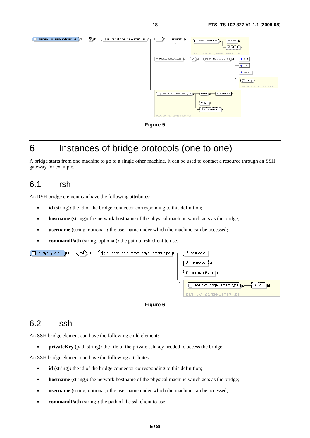



# 6 Instances of bridge protocols (one to one)

A bridge starts from one machine to go to a single other machine. It can be used to contact a resource through an SSH gateway for example.

### 6.1 rsh

An RSH bridge element can have the following attributes:

- id (string): the id of the bridge connector corresponding to this definition;
- **hostname** (string): the network hostname of the physical machine which acts as the bridge;
- **username** (string, optional)**:** the user name under which the machine can be accessed;
- **commandPath** (string, optional)**:** the path of rsh client to use.





### 6.2 ssh

An SSH bridge element can have the following child element:

• **privateKey** (path string)**:** the file of the private ssh key needed to access the bridge.

An SSH bridge element can have the following attributes:

- **id** (string)**:** the id of the bridge connector corresponding to this definition;
- **hostname** (string): the network hostname of the physical machine which acts as the bridge;
- **username** (string, optional)**:** the user name under which the machine can be accessed;
- **commandPath** (string): the path of the ssh client to use;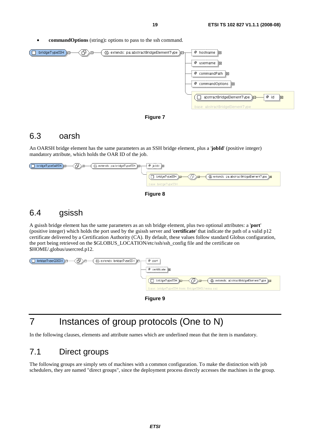• **commandOptions** (string)**:** options to pass to the ssh command.





### 6.3 oarsh

An OARSH bridge element has the same parameters as an SSH bridge element, plus a '**jobId**' (positive integer) mandatory attribute, which holds the OAR ID of the job.



#### **Figure 8**

### 6.4 gsissh

A gsissh bridge element has the same parameters as an ssh bridge element, plus two optional attributes: a '**port**' (positive integer) which holds the port used by the gsissh server and '**certificate**' that indicate the path of a valid p12 certificate delivered by a Certification Authority (CA). By default, these values follow standard Globus configuration, the port being retrieved on the \$GLOBUS\_LOCATION/etc/ssh/ssh\_config file and the certificate on \$HOME/.globus/usercred.p12.

| $\left(\fbox{D bridgeTypeGSISH}\right)$ g $\longrightarrow$ g $\rightarrow$ g-<br>$\langle \text{I} \rangle$ extends: bridgeTypeSSH $\vert \text{II} \vert$<br>@ port |
|-----------------------------------------------------------------------------------------------------------------------------------------------------------------------|
| @ certificate  田                                                                                                                                                      |
| bridgeTypeSSH B-CD B-                                                                                                                                                 |
| base: bridgeTypeSSH from: BridgeSSHSchema.xsd                                                                                                                         |
| Figure 9                                                                                                                                                              |

# 7 Instances of group protocols (One to N)

In the following clauses, elements and attribute names which are underlined mean that the item is mandatory.

### 7.1 Direct groups

The following groups are simply sets of machines with a common configuration. To make the distinction with job schedulers, they are named "direct groups", since the deployment process directly accesses the machines in the group.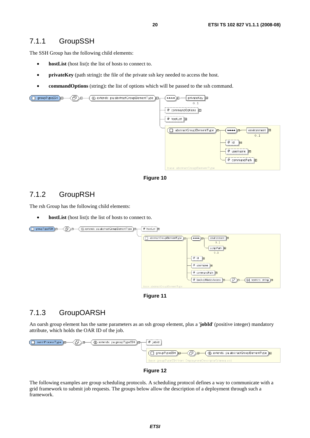#### 7.1.1 GroupSSH

The SSH Group has the following child elements:

- **hostList** (host list)**:** the list of hosts to connect to.
- **privateKey** (path string): the file of the private ssh key needed to access the host.
- **commandOptions** (string): the list of options which will be passed to the ssh command.





#### 7.1.2 GroupRSH

The rsh Group has the following child elements:

• **hostList** (host list)**:** the list of hosts to connect to.





#### 7.1.3 GroupOARSH

An oarsh group element has the same parameters as an ssh group element, plus a '**jobId**' (positive integer) mandatory attribute, which holds the OAR ID of the job.



#### **Figure 12**

The following examples are group scheduling protocols. A scheduling protocol defines a way to communicate with a grid framework to submit job requests. The groups below allow the description of a deployment through such a framework.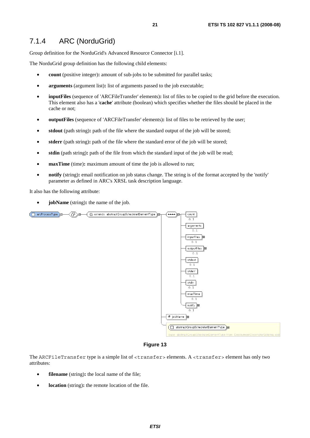#### 7.1.4 ARC (NorduGrid)

Group definition for the NorduGrid's Advanced Resource Connector [i.1].

The NorduGrid group definition has the following child elements:

- **count** (positive integer)**:** amount of sub-jobs to be submitted for parallel tasks;
- **arguments** (argument list): list of arguments passed to the job executable;
- **inputFiles** (sequence of 'ARCFileTransfer' elements)**:** list of files to be copied to the grid before the execution. This element also has a '**cache**' attribute (boolean) which specifies whether the files should be placed in the cache or not;
- **outputFiles** (sequence of 'ARCFileTransfer' elements): list of files to be retrieved by the user;
- **stdout** (path string)**:** path of the file where the standard output of the job will be stored;
- **stderr** (path string): path of the file where the standard error of the job will be stored;
- **stdin** (path string): path of the file from which the standard input of the job will be read;
- **maxTime** (time): maximum amount of time the job is allowed to run;
- **notify** (string)**:** email notification on job status change. The string is of the format accepted by the 'notify' parameter as defined in ARC's XRSL task description language.

It also has the following attribute:

• **jobName** (string)**:** the name of the job.



#### **Figure 13**

The ARCFileTransfer type is a simple list of <transfer> elements. A <transfer> element has only two attributes:

- filename (string): the local name of the file;
- **location** (string): the remote location of the file.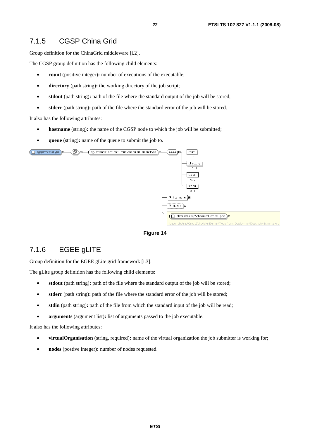### 7.1.5 CGSP China Grid

Group definition for the ChinaGrid middleware [i.2].

The CGSP group definition has the following child elements:

- **count** (positive integer)**:** number of executions of the executable;
- **directory** (path string)**:** the working directory of the job script;
- **stdout** (path string): path of the file where the standard output of the job will be stored;
- **stderr** (path string)**:** path of the file where the standard error of the job will be stored.

It also has the following attributes:

- **hostname** (string): the name of the CGSP node to which the job will be submitted;
- **queue** (string)**:** name of the queue to submit the job to.





### 7.1.6 EGEE gLITE

Group definition for the EGEE gLite grid framework [i.3].

The gLite group definition has the following child elements:

- **stdout** (path string): path of the file where the standard output of the job will be stored;
- **stderr** (path string): path of the file where the standard error of the job will be stored;
- **stdin** (path string): path of the file from which the standard input of the job will be read;
- **arguments** (argument list)**:** list of arguments passed to the job executable.

It also has the following attributes:

- **virtualOrganisation** (string, required)**:** name of the virtual organization the job submitter is working for;
- **nodes** (postive integer)**:** number of nodes requested.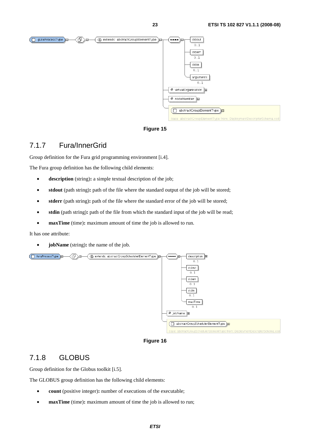

**Figure 15** 

#### 7.1.7 Fura/InnerGrid

Group definition for the Fura grid programming environment [i.4].

The Fura group definition has the following child elements:

- **description** (string)**:** a simple textual description of the job;
- **stdout** (path string): path of the file where the standard output of the job will be stored;
- **stderr** (path string)**:** path of the file where the standard error of the job will be stored;
- **stdin** (path string)**:** path of the file from which the standard input of the job will be read;
- **maxTime** (time): maximum amount of time the job is allowed to run.

It has one attribute:

**jobName** (string): the name of the job.





#### 7.1.8 GLOBUS

Group definition for the Globus toolkit [i.5].

The GLOBUS group definition has the following child elements:

- **count** (positive integer)**:** number of executions of the executable;
- **maxTime** (time): maximum amount of time the job is allowed to run;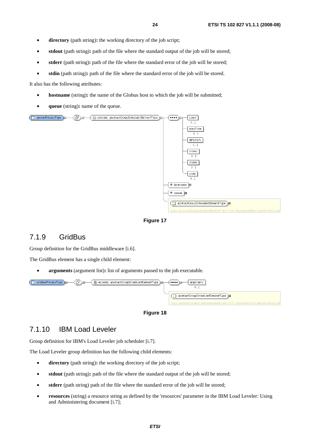- **directory** (path string)**:** the working directory of the job script;
- **stdout** (path string): path of the file where the standard output of the job will be stored;
- **stderr** (path string): path of the file where the standard error of the job will be stored;
- **stdin** (path string): path of the file where the standard error of the job will be stored.

It also has the following attributes:

- **hostname** (string): the name of the Globus host to which the job will be submitted;
- **queue** (string)**:** name of the queue.



**Figure 17** 

#### 7.1.9 GridBus

Group definition for the GridBus middleware [i.6].

The GridBus element has a single child element:

• **arguments** (argument list)**:** list of arguments passed to the job executable.





#### 7.1.10 IBM Load Leveler

Group definition for IBM's Load Leveler job scheduler [i.7].

The Load Leveler group definition has the following child elements:

- **directory** (path string)**:** the working directory of the job script;
- **stdout** (path string): path of the file where the standard output of the job will be stored;
- **stderr** (path string) path of the file where the standard error of the job will be stored;
- **resources** (string) a resource string as defined by the 'resources' parameter in the IBM Load Leveler: Using and Administering document [i.7];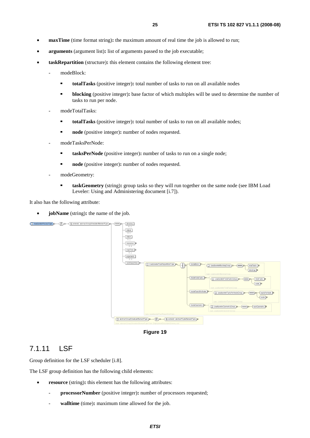- **maxTime** (time format string): the maximum amount of real time the job is allowed to run;
- **arguments** (argument list)**:** list of arguments passed to the job executable;
- **taskRepartition** (structure)**:** this element contains the following element tree:
	- modeBlock:
		- **totalTasks** (positive integer)**:** total number of tasks to run on all available nodes
		- **blocking** (positive integer)**:** base factor of which multiples will be used to determine the number of tasks to run per node.
	- modeTotalTasks:
		- **totalTasks** (positive integer)**:** total number of tasks to run on all available nodes;
		- **node** (positive integer)**:** number of nodes requested.
	- modeTasksPerNode:
		- **tasksPerNode** (positive integer)**:** number of tasks to run on a single node;
		- **node** (positive integer)**:** number of nodes requested.
	- modeGeometry:
		- **taskGeometry** (string)**:** group tasks so they will run together on the same node (see IBM Load Leveler: Using and Administering document [i.7]).

It also has the following attribute:

**jobName** (string): the name of the job.



**Figure 19** 

#### 7.1.11 LSF

Group definition for the LSF scheduler [i.8].

The LSF group definition has the following child elements:

- **resource** (string)**:** this element has the following attributes:
	- **processorNumber** (positive integer)**:** number of processors requested;
	- walltime (time): maximum time allowed for the job.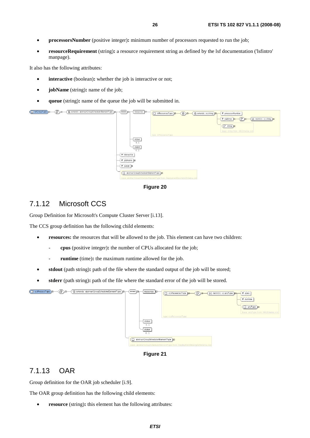- 
- **processorsNumber** (positive integer): minimum number of processors requested to run the job;
- **resourceRequirement** (string)**:** a resource requirement string as defined by the lsf documentation ('lsfintro' manpage).

It also has the following attributes:

- **interactive** (boolean): whether the job is interactive or not;
- **jobName** (string)**:** name of the job;
- **queue** (string)**:** name of the queue the job will be submitted in.



**Figure 20** 

#### 7.1.12 Microsoft CCS

Group Definition for Microsoft's Compute Cluster Server [i.13].

The CCS group definition has the following child elements:

- **resources:** the resources that will be allowed to the job. This element can have two children:
	- **cpus** (positive integer)**:** the number of CPUs allocated for the job;
	- runtime (time): the maximum runtime allowed for the job.
- **stdout** (path string): path of the file where the standard output of the job will be stored;
- **stderr** (path string)**:** path of the file where the standard error of the job will be stored.

| (□ ccsProcessType) a | ⊲∢⊕<br>√ extends: abstractGroupSchedulerElementType ) = | i <del>ve ve</del> littir | resources □                                                         | $\langle \Phi \rangle$ a-<br>$(\Box$ ccsResourcesType $) \Box$<br>type: ccsResourcesType | $(N$ restricts: xs:anyType $E$ | ,,,,,,,,,,,,,,,,,,<br>$\phi$ cpus<br><br>i @ runtime<br>$(\Box$ anyType $)\boxplus$<br>base: anyType from: XMLSchema.xsd |
|----------------------|---------------------------------------------------------|---------------------------|---------------------------------------------------------------------|------------------------------------------------------------------------------------------|--------------------------------|--------------------------------------------------------------------------------------------------------------------------|
|                      |                                                         | Ο                         | stdout<br>0.1<br>stderr<br>0.1<br>abstractGroupSchedulerElementType | base: abstractGroupSchedulerElementType from: DeploymentDescriptorSchema.xsd             |                                |                                                                                                                          |

**Figure 21** 

#### 7.1.13 OAR

Group definition for the OAR job scheduler [i.9].

The OAR group definition has the following child elements:

• **resource** (string)**:** this element has the following attributes: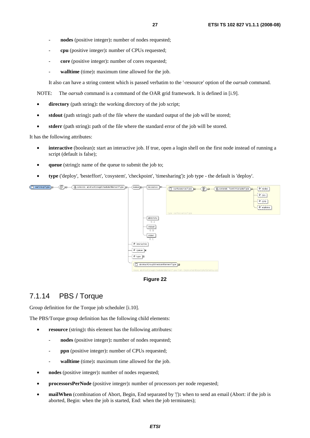- nodes (positive integer): number of nodes requested;
- **cpu** (positive integer)**:** number of CPUs requested;
- core (positive integer): number of cores requested;
- wall time): maximum time allowed for the job.

It also can have a string content which is passed verbatim to the '-resource' option of the *oarsub* command.

NOTE: The *oarsub* command is a command of the OAR grid framework. It is defined in [i.9].

- **directory** (path string)**:** the working directory of the job script;
- **stdout** (path string): path of the file where the standard output of the job will be stored;
- **stderr** (path string): path of the file where the standard error of the job will be stored.

It has the following attributes:

- interactive (boolean): start an interactive job. If true, open a login shell on the first node instead of running a script (default is false);
- **queue** (string): name of the queue to submit the job to;
- **type** ('deploy', 'besteffort', 'cosystem', 'checkpoint', 'timesharing')**:** job type the default is 'deploy'.



**Figure 22** 

#### 7.1.14 PBS / Torque

Group definition for the Torque job scheduler [i.10].

The PBS/Torque group definition has the following child elements:

- **resource** (string)**:** this element has the following attributes:
	- nodes (positive integer): number of nodes requested;
	- **ppn** (positive integer)**:** number of CPUs requested;
	- wall time): maximum time allowed for the job.
- **nodes** (positive integer)**:** number of nodes requested;
- **processorsPerNode** (positive integer)**:** number of processors per node requested;
- **mailWhen** (combination of Abort, Begin, End separated by '|'): when to send an email (Abort: if the job is aborted, Begin: when the job is started, End: when the job terminates);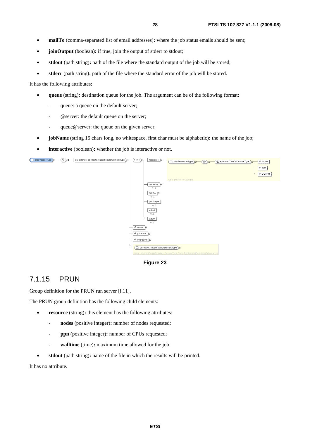- **mailTo** (comma-separated list of email addresses): where the job status emails should be sent;
- **joinOutput** (boolean): if true, join the output of stderr to stdout;
- **stdout** (path string): path of the file where the standard output of the job will be stored;
- **stderr** (path string)**:** path of the file where the standard error of the job will be stored.

It has the following attributes:

- **queue** (string)**:** destination queue for the job. The argument can be of the following format:
	- queue: a queue on the default server;
	- @server: the default queue on the server;
	- queue@server: the queue on the given server.
- **jobName** (string 15 chars long, no whitespace, first char must be alphabetic): the name of the job;
- **interactive** (boolean)**:** whether the job is interactive or not.



**Figure 23** 

#### 7.1.15 PRUN

Group definition for the PRUN run server [i.11].

The PRUN group definition has the following child elements:

- **resource** (string)**:** this element has the following attributes:
	- nodes (positive integer): number of nodes requested;
	- **ppn** (positive integer): number of CPUs requested;
	- wall time (time): maximum time allowed for the job.
- **stdout** (path string): name of the file in which the results will be printed.

It has no attribute.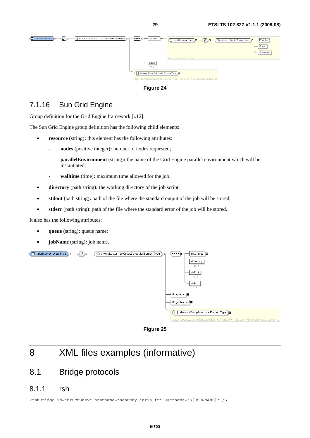

**Figure 24** 

#### 7.1.16 Sun Grid Engine

Group definition for the Grid Engine framework [i.12].

The Sun Grid Engine group definition has the following child elements:

- **resource** (string)**:** this element has the following attributes:
	- nodes (positive integer): number of nodes requested;
	- **parallelEnvironment** (string): the name of the Grid Engine parallel environment which will be instantiated;
	- wall time): maximum time allowed for the job.
- **directory** (path string)**:** the working directory of the job script;
- **stdout** (path string): path of the file where the standard output of the job will be stored;
- **stderr** (path string)**:** path of the file where the standard error of the job will be stored.

It also has the following attributes:

- **queue** (string)**:** queue name;
- **jobName** (string)**:** job name.





# 8 XML files examples (informative)

### 8.1 Bridge protocols

#### 8.1.1 rsh

<rshBridge id="brSchubby" hostname="schubby.inria.fr" username="\${USERNAME}" />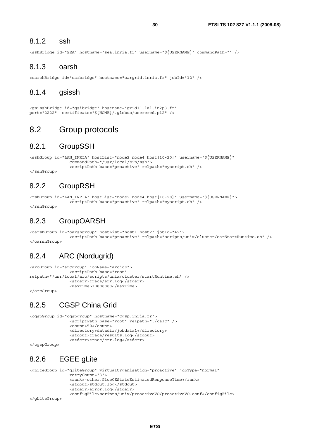#### 8.1.2 ssh

<sshBridge id="SEA" hostname="sea.inria.fr" username="\${USERNAME}" commandPath="" />

#### 8.1.3 oarsh

<oarshBridge id="oarbridge" hostname="oargrid.inria.fr" jobId="12" />

#### 8.1.4 gsissh

```
<gsisshBridge id="gsibridge" hostname="grid11.lal.in2p3.fr" 
port="2222" certificate="${HOME}/.globus/usercred.p12" />
```
#### 8.2 Group protocols

#### 8.2.1 GroupSSH

```
<sshGroup id="LAN_INRIA" hostList="node2 node4 host[10-20]" username="${USERNAME}" 
                 commandPath="/usr/local/bin/ssh"> 
                 <scriptPath base="proactive" relpath="myscript.sh" />
```
</sshGroup>

#### 8.2.2 GroupRSH

```
<rshGroup id="LAN_INRIA" hostList="node2 node4 host[10-20]" username="${USERNAME}"> 
                 <scriptPath base="proactive" relpath="myscript.sh" />
```
</rshGroup>

#### 8.2.3 GroupOARSH

```
<oarshGroup id="oarshgroup" hostList="host1 host2" jobId="42"> 
                 <scriptPath base="proactive" relpath="scripts/unix/cluster/oarStartRuntime.sh" /> 
</oarshGroup>
```
#### 8.2.4 ARC (Nordugrid)

```
<arcGroup id="arcgroup" jobName="arcjob"> 
                  <scriptPath base="root" 
relpath="/usr/local/arc/scripts/unix/cluster/startRuntime.sh" /> 
                  <stderr>trace/err.log</stderr> 
                  <maxTime>10000000</maxTime> 
</arcGroup>
```
#### 8.2.5 CGSP China Grid

```
<cgspGroup id="cgspgroup" hostname="cgsp.inria.fr"> 
                 <scriptPath base="root" relpath="./calc" /> 
                 <count>50</count> 
                 <directory>datadir/jobdata1</directory> 
                 <stdout>trace/results.log</stdout> 
                <stderr>trace/err.log</stderr>
```
</cgspGroup>

#### 8.2.6 EGEE gLite

```
<gLiteGroup id="gliteGroup" virtualOrganisation="proactive" jobType="normal" 
                 retryCount="3"> 
                  <rank>-other.GlueCEStateEstimatedResponseTime</rank> 
                 <stdout>stdout.log</stdout> 
                 <stderr>error.log</stderr> 
                  <configFile>scripts/unix/proactiveVO/proactiveVO.conf</configFile>
```
</gLiteGroup>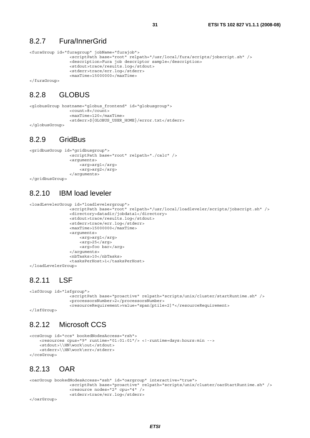#### 8.2.7 Fura/InnerGrid

```
<furaGroup id="furagroup" jobName="furajob"> 
                 <scriptPath base="root" relpath="/usr/local/fura/scripts/jobscript.sh" /> 
                 <description>Fura job descriptor sample</description> 
                <stdout>trace/results.log</stdout>
                 <stderr>trace/err.log</stderr> 
                 <maxTime>15000000</maxTime> 
</furaGroup>
```
#### 8.2.8 GLOBUS

<globusGroup hostname="globus\_frontend" id="globusgroup"> <count>8</count> <maxTime>120</maxTime> <stderr>\${GLOBUS\_USER\_HOME}/error.txt</stderr>

</globusGroup>

### 8.2.9 GridBus

```
<gridbusGroup id="gridbusgroup"> 
                  <scriptPath base="root" relpath="./calc" /> 
                  <arguments> 
                       <arg>arg1</arg> 
                       <arg>arg2</arg> 
                  </arguments> 
</gridbusGroup>
```
#### 8.2.10 IBM load leveler

```
<loadLevelerGroup id="loadlevelergroup"> 
                  <scriptPath base="root" relpath="/usr/local/loadleveler/scripts/jobscript.sh" /> 
                  <directory>datadir/jobdata1</directory> 
                  <stdout>trace/results.log</stdout> 
                  <stderr>trace/err.log</stderr> 
                  <maxTime>15000000</maxTime> 
                  <arguments> 
                      <arg>arg1</arg> 
                      <arg>25</arg> 
                      <arg>foo bar</arg> 
                  </arguments> 
                  <nbTasks>10</nbTasks> 
                  <tasksPerHost>1</tasksPerHost>
```
</loadLevelerGroup>

### 8.2.11 LSF

```
<lsfGroup id="lsfgroup"> 
                 <scriptPath base="proactive" relpath="scripts/unix/cluster/startRuntime.sh" /> 
                 <processorsNumber>2</processorsNumber> 
                 <resourceRequirement>value="span[ptile=2]"</resourceRequirement>
```
</lsfGroup>

### 8.2.12 Microsoft CCS

```
<ccsGroup id="ccs" bookedNodesAccess="rsh"> 
     <resources cpus="9" runtime="01:01:01"/> <!-runtime=days:hours:min --> 
     <stdout>\\HN\work\out</stdout> 
     <stderr>\\HN\work\err</stderr> 
</ccsGroup>
```
### 8.2.13 OAR

```
<oarGroup bookedNodesAccess="ssh" id="oargroup" interactive="true"> 
                 <scriptPath base="proactive" relpath="scripts/unix/cluster/oarStartRuntime.sh" /> 
                 <resource nodes="2" cpu="4" /> 
                 <stderr>trace/err.log</stderr> 
</oarGroup>
```
*ETSI*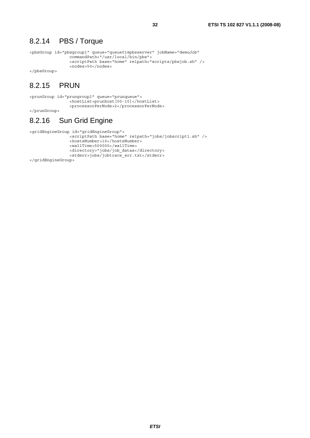#### 8.2.14 PBS / Torque

```
<pbsGroup id="pbsgroup1" queue="queue01@pbsserver" jobName="demoJob" 
                 commandPath="/usr/local/bin/pbs"> 
                  <scriptPath base="home" relpath="scripts/pbsjob.sh" /> 
                  <nodes>50</nodes> 
</pbsGroup>
```
#### 8.2.15 PRUN

```
<prunGroup id="prungroup1" queue="prunqueue"> 
 <hostList>prunhost[00-10]</hostList> 
               <processorPerNode>2</processorPerNode>
```
</prunGroup>

### 8.2.16 Sun Grid Engine

```
<gridEngineGroup id="gridEngineGroup"> 
 <scriptPath base="home" relpath="jobs/jobscript1.sh" /> 
                <hostsNumber>10</hostsNumber> 
                <wallTime>500000</wallTime> 
                <directory>"jobs/job_datas</directory> 
               <stderr>jobs/jobtrace_err.txt</stderr>
</gridEngineGroup>
```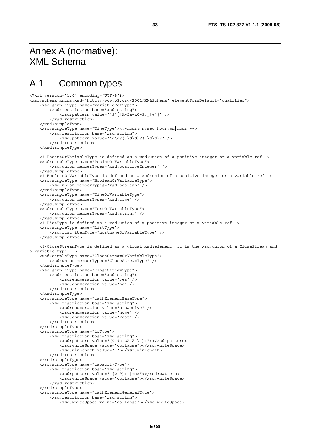Annex A (normative): XML Schema

### A.1 Common types

```
<?xml version="1.0" encoding="UTF-8"?> 
<xsd:schema xmlns:xsd="http://www.w3.org/2001/XMLSchema" elementFormDefault="qualified"> 
     <xsd:simpleType name="variableRefType"> 
         <xsd:restriction base="xsd:string"> 
             <xsd:pattern value="\$\{[A-Za-z0-9._]+\}" /> 
         </xsd:restriction> 
     </xsd:simpleType> 
     <xsd:simpleType name="TimeType"><!-hour:mn:sec│hour:mn│hour --> 
         <xsd:restriction base="xsd:string"> 
             \langle xsd:pattern value="\ddot{\alpha}(i;\ddot{d})?(:,\ddot{d})?" />
         </xsd:restriction> 
     </xsd:simpleType> 
     <!-PosintOrVariableType is defined as a xsd:union of a positive integer or a variable ref--> 
     <xsd:simpleType name="PosintOrVariableType"> 
         <xsd:union memberTypes="xsd:positiveInteger" /> 
     </xsd:simpleType> 
     <!-BooleanOrVariableType is defined as a xsd:union of a positive integer or a variable ref--> 
     <xsd:simpleType name="BooleanOrVariableType"> 
         <xsd:union memberTypes="xsd:boolean" /> 
     </xsd:simpleType> 
     <xsd:simpleType name="TimeOrVariableType"> 
         <xsd:union memberTypes="xsd:time" /> 
     </xsd:simpleType> 
     <xsd:simpleType name="TextOrVariableType"> 
         <xsd:union memberTypes="xsd:string" /> 
     </xsd:simpleType> 
     <!-ListType is defined as a xsd:union of a positive integer or a variable ref--> 
     <xsd:simpleType name="ListType"> 
         <xsd:list itemType="hostnameOrVariableType" /> 
     </xsd:simpleType> 
     <!-CloseStreamType is defined as a global xsd:element, it is the xsd:union of a CloseStream and 
a variable type.--> 
     <xsd:simpleType name="CloseStreamOrVariableType"> 
         <xsd:union memberTypes="CloseStreamType" /> 
     </xsd:simpleType> 
     <xsd:simpleType name="CloseStreamType"> 
         <xsd:restriction base="xsd:string"> 
             <xsd:enumeration value="yes" /> 
              <xsd:enumeration value="no" /> 
         </xsd:restriction> 
     </xsd:simpleType> 
     <xsd:simpleType name="pathElementBaseType"> 
         <xsd:restriction base="xsd:string"> 
             <xsd:enumeration value="proactive" /> 
             <xsd:enumeration value="home" /> 
             <xsd:enumeration value="root" /> 
         </xsd:restriction> 
     </xsd:simpleType> 
     <xsd:simpleType name="idType"> 
         <xsd:restriction base="xsd:string"> 
             <xsd:pattern value="[0-9a-zA-Z_\-]+"></xsd:pattern> 
             <xsd:whiteSpace value="collapse"></xsd:whiteSpace> 
              <xsd:minLength value="1"></xsd:minLength> 
         </xsd:restriction> 
     </xsd:simpleType> 
     <xsd:simpleType name="capacityType"> 
         <xsd:restriction base="xsd:string"> 
             <xsd:pattern value="([0-9]+)|max"></xsd:pattern> 
             <xsd:whiteSpace value="collapse"></xsd:whiteSpace> 
         </xsd:restriction> 
     </xsd:simpleType> 
     <xsd:simpleType name="pathElementGeneralType"> 
         <xsd:restriction base="xsd:string"> 
             <xsd:whiteSpace value="collapse"></xsd:whiteSpace>
```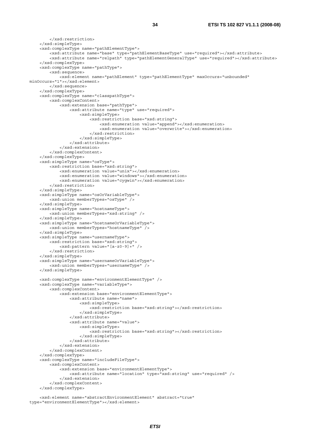```
 </xsd:restriction> 
     </xsd:simpleType> 
     <xsd:complexType name="pathElementType"> 
         <xsd:attribute name="base" type="pathElementBaseType" use="required"></xsd:attribute> 
          <xsd:attribute name="relpath" type="pathElementGeneralType" use="required"></xsd:attribute> 
     </xsd:complexType> 
     <xsd:complexType name="pathType"> 
         <xsd:sequence> 
              <xsd:element name="pathElement" type="pathElementType" maxOccurs="unbounded" 
minOccurs="1"></xsd:element> 
         </xsd:sequence> 
     </xsd:complexType> 
     <xsd:complexType name="classpathType"> 
         <xsd:complexContent> 
              <xsd:extension base="pathType"> 
                  <xsd:attribute name="type" use="required"> 
                      <xsd:simpleType> 
                           <xsd:restriction base="xsd:string"> 
                               <xsd:enumeration value="append"></xsd:enumeration> 
                               <xsd:enumeration value="overwrite"></xsd:enumeration> 
                           </xsd:restriction> 
                      </xsd:simpleType> 
                  </xsd:attribute> 
              </xsd:extension> 
         </xsd:complexContent> 
     </xsd:complexType> 
     <xsd:simpleType name="osType"> 
         <xsd:restriction base="xsd:string"> 
              <xsd:enumeration value="unix"></xsd:enumeration> 
              <xsd:enumeration value="windows"></xsd:enumeration> 
              <xsd:enumeration value="cygwin"></xsd:enumeration> 
         </xsd:restriction> 
     </xsd:simpleType> 
     <xsd:simpleType name="osOrVariableType"> 
         <xsd:union memberTypes="osType" /> 
     </xsd:simpleType> 
     <xsd:simpleType name="hostnameType"> 
         <xsd:union memberTypes="xsd:string" /> 
     </xsd:simpleType> 
     <xsd:simpleType name="hostnameOrVariableType"> 
         <xsd:union memberTypes="hostnameType" /> 
     </xsd:simpleType> 
     <xsd:simpleType name="usernameType"> 
         <xsd:restriction base="xsd:string"> 
             <xsd:pattern value="[a-z0-9]+" /> 
         </xsd:restriction> 
     </xsd:simpleType> 
     <xsd:simpleType name="usernameOrVariableType"> 
         <xsd:union memberTypes="usernameType" /> 
     </xsd:simpleType> 
     <xsd:complexType name="environmentElementType" /> 
     <xsd:complexType name="variableType"> 
         <xsd:complexContent> 
              <xsd:extension base="environmentElementType"> 
                  <xsd:attribute name="name"> 
                      <xsd:simpleType> 
                          <xsd:restriction base="xsd:string"></xsd:restriction> 
                      </xsd:simpleType> 
                 \epsilon/xsd:attribute>
                  <xsd:attribute name="value"> 
                      <xsd:simpleType> 
                          <xsd:restriction base="xsd:string"></xsd:restriction> 
                      </xsd:simpleType> 
                  </xsd:attribute> 
              </xsd:extension> 
         </xsd:complexContent> 
     </xsd:complexType> 
     <xsd:complexType name="includeFileType"> 
         <xsd:complexContent> 
              <xsd:extension base="environmentElementType"> 
                  <xsd:attribute name="location" type="xsd:string" use="required" /> 
              </xsd:extension> 
         </xsd:complexContent> 
     </xsd:complexType> 
     <xsd:element name="abstractEnvironmentElement" abstract="true"
```

```
type="environmentElementType"></xsd:element>
```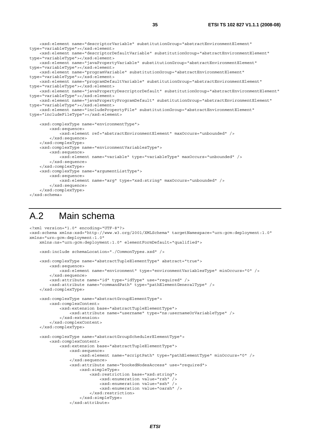```
 <xsd:element name="descriptorVariable" substitutionGroup="abstractEnvironmentElement" 
type="variableType"></xsd:element> 
     <xsd:element name="descriptorDefaultVariable" substitutionGroup="abstractEnvironmentElement" 
type="variableType"></xsd:element> 
     <xsd:element name="javaPropertyVariable" substitutionGroup="abstractEnvironmentElement" 
type="variableType"></xsd:element> 
     <xsd:element name="programVariable" substitutionGroup="abstractEnvironmentElement" 
type="variableType"></xsd:element> 
     <xsd:element name="programDefaultVariable" substitutionGroup="abstractEnvironmentElement" 
type="variableType"></xsd:element> 
     <xsd:element name="javaPropertyDescriptorDefault" substitutionGroup="abstractEnvironmentElement" 
type="variableType"></xsd:element> 
     <xsd:element name="javaPropertyProgramDefault" substitutionGroup="abstractEnvironmentElement" 
type="variableType"></xsd:element> 
    <xsd:element name="includePropertyFile" substitutionGroup="abstractEnvironmentElement" 
type="includeFileType"></xsd:element> 
     <xsd:complexType name="environmentType"> 
         <xsd:sequence> 
            <xsd:element ref="abstractEnvironmentElement" maxOccurs="unbounded" /> 
         </xsd:sequence> 
     </xsd:complexType> 
     <xsd:complexType name="environmentVariablesType"> 
         <xsd:sequence> 
             <xsd:element name="variable" type="variableType" maxOccurs="unbounded" /> 
         </xsd:sequence> 
     </xsd:complexType> 
     <xsd:complexType name="argumentListType"> 
         <xsd:sequence> 
             <xsd:element name="arg" type="xsd:string" maxOccurs="unbounded" /> 
         </xsd:sequence> 
     </xsd:complexType>
```

```
</xsd:schema>
```
### A.2 Main schema

```
<?xml version="1.0" encoding="UTF-8"?> 
<xsd:schema xmlns:xsd="http://www.w3.org/2001/XMLSchema" targetNamespace="urn:gcm:deployment:1.0" 
xmlns="urn:gcm:deployment:1.0" 
     xmlns:ns="urn:gcm:deployment:1.0" elementFormDefault="qualified"> 
     <xsd:include schemaLocation="./CommonTypes.xsd" /> 
     <xsd:complexType name="abstractTupleElementType" abstract="true"> 
         <xsd:sequence> 
             <xsd:element name="environment" type="environmentVariablesType" minOccurs="0" /> 
         </xsd:sequence> 
         <xsd:attribute name="id" type="idType" use="required" /> 
         <xsd:attribute name="commandPath" type="pathElementGeneralType" /> 
     </xsd:complexType> 
     <xsd:complexType name="abstractGroupElementType"> 
         <xsd:complexContent> 
             <xsd:extension base="abstractTupleElementType"> 
                  <xsd:attribute name="username" type="ns:usernameOrVariableType" /> 
             </xsd:extension> 
         </xsd:complexContent> 
     </xsd:complexType> 
     <xsd:complexType name="abstractGroupSchedulerElementType"> 
         <xsd:complexContent> 
             <xsd:extension base="abstractTupleElementType"> 
                  <xsd:sequence> 
                      <xsd:element name="scriptPath" type="pathElementType" minOccurs="0" /> 
                  </xsd:sequence> 
                  <xsd:attribute name="bookedNodesAccess" use="required"> 
                      <xsd:simpleType> 
                          <xsd:restriction base="xsd:string"> 
                              <xsd:enumeration value="rsh" /> 
                               <xsd:enumeration value="ssh" /> 
                              <xsd:enumeration value="oarsh" /> 
                          </xsd:restriction> 
                      </xsd:simpleType> 
                  </xsd:attribute>
```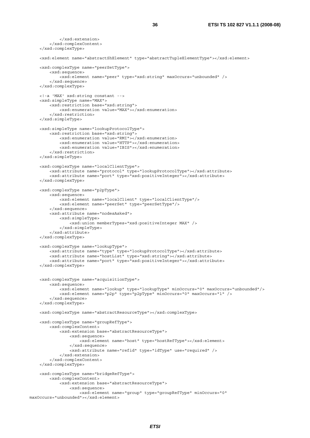```
 </xsd:extension> 
         </xsd:complexContent> 
     </xsd:complexType> 
     <xsd:element name="abstractShElement" type="abstractTupleElementType"></xsd:element> 
     <xsd:complexType name="peerSetType"> 
         <xsd:sequence> 
             <xsd:element name="peer" type="xsd:string" maxOccurs="unbounded" /> 
         </xsd:sequence> 
     </xsd:complexType> 
     <!-a 'MAX' xsd:string constant --> 
     <xsd:simpleType name="MAX"> 
         <xsd:restriction base="xsd:string"> 
             <xsd:enumeration value="MAX"></xsd:enumeration> 
         </xsd:restriction> 
     </xsd:simpleType> 
     <xsd:simpleType name="lookupProtocolType"> 
         <xsd:restriction base="xsd:string"> 
             <xsd:enumeration value="RMI"></xsd:enumeration> 
             <xsd:enumeration value="HTTP"></xsd:enumeration> 
             <xsd:enumeration value="IBIS"></xsd:enumeration> 
         </xsd:restriction> 
     </xsd:simpleType> 
     <xsd:complexType name="localClientType"> 
         <xsd:attribute name="protocol" type="lookupProtocolType"></xsd:attribute> 
         <xsd:attribute name="port" type="xsd:positiveInteger"></xsd:attribute> 
     </xsd:complexType> 
     <xsd:complexType name="p2pType"> 
         <xsd:sequence> 
             <xsd:element name="localClient" type="localClientType"/> 
              <xsd:element name="peerSet" type="peerSetType"/> 
         </xsd:sequence> 
         <xsd:attribute name="nodesAsked"> 
             <xsd:simpleType> 
                  <xsd:union memberTypes="xsd:positiveInteger MAX" /> 
             </xsd:simpleType> 
         </xsd:attribute> 
     </xsd:complexType> 
     <xsd:complexType name="lookupType"> 
 <xsd:attribute name="type" type="lookupProtocolType"></xsd:attribute> 
 <xsd:attribute name="hostList" type="xsd:string"></xsd:attribute> 
         <xsd:attribute name="port" type="xsd:positiveInteger"></xsd:attribute> 
     </xsd:complexType> 
     <xsd:complexType name="acquisitionType"> 
         <xsd:sequence> 
             <xsd:element name="lookup" type="lookupType" minOccurs="0" maxOccurs="unbounded"/> 
             <xsd:element name="p2p" type="p2pType" minOccurs="0" maxOccurs="1" /> 
         </xsd:sequence> 
     </xsd:complexType> 
     <xsd:complexType name="abstractResourceType"></xsd:complexType> 
     <xsd:complexType name="groupRefType"> 
         <xsd:complexContent> 
             <xsd:extension base="abstractResourceType"> 
                  <xsd:sequence> 
                      <xsd:element name="host" type="hostRefType"></xsd:element> 
                  </xsd:sequence> 
                  <xsd:attribute name="refid" type="idType" use="required" /> 
             </xsd:extension> 
         </xsd:complexContent> 
     </xsd:complexType> 
     <xsd:complexType name="bridgeRefType"> 
         <xsd:complexContent> 
             <xsd:extension base="abstractResourceType"> 
                  <xsd:sequence> 
                     <xsd:element name="group" type="groupRefType" minOccurs="0" 
maxOccurs="unbounded"></xsd:element>
```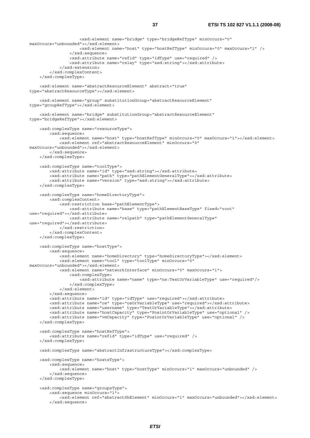```
 <xsd:element name="bridge" type="bridgeRefType" minOccurs="0" 
maxOccurs="unbounded"></xsd:element> 
                     <xsd:element name="host" type="hostRefType" minOccurs="0" maxOccurs="1" /> 
                  </xsd:sequence> 
                  <xsd:attribute name="refid" type="idType" use="required" /> 
                  <xsd:attribute name="relay" type="xsd:string"></xsd:attribute> 
             </xsd:extension> 
         </xsd:complexContent> 
     </xsd:complexType> 
     <xsd:element name="abstractResourceElement" abstract="true" 
type="abstractResourceType"></xsd:element> 
     <xsd:element name="group" substitutionGroup="abstractResourceElement" 
type="groupRefType"></xsd:element> 
     <xsd:element name="bridge" substitutionGroup="abstractResourceElement" 
type="bridgeRefType"></xsd:element> 
     <xsd:complexType name="resourceType"> 
         <xsd:sequence> 
            <xsd:element name="host" type="hostRefType" minOccurs="0" maxOccurs="1"></xsd:element>
             <xsd:element ref="abstractResourceElement" minOccurs="0" 
maxOccurs="unbounded"></xsd:element> 
         </xsd:sequence> 
     </xsd:complexType> 
     <xsd:complexType name="toolType"> 
         <xsd:attribute name="id" type="xsd:string"></xsd:attribute> 
         <xsd:attribute name="path" type="pathElementGeneralType"></xsd:attribute> 
         <xsd:attribute name="version" type="xsd:string"></xsd:attribute> 
     </xsd:complexType> 
     <xsd:complexType name="homeDirectoryType"> 
         <xsd:complexContent> 
             <xsd:restriction base="pathElementType"> 
                 <xsd:attribute name="base" type="pathElementBaseType" fixed="root" 
use="required"></xsd:attribute> 
                 <xsd:attribute name="relpath" type="pathElementGeneralType" 
use="required"></xsd:attribute> 
             </xsd:restriction> 
         </xsd:complexContent> 
     </xsd:complexType> 
     <xsd:complexType name="hostType"> 
         <xsd:sequence> 
             <xsd:element name="homeDirectory" type="homeDirectoryType"></xsd:element> 
             <xsd:element name="tool" type="toolType" minOccurs="0" 
maxOccurs="unbounded"></xsd:element> 
             <xsd:element name="networkInterface" minOccurs="0" maxOccurs="1"> 
                 <xsd:complexType> 
                     <xsd:attribute name="name" type="ns:TextOrVariableType" use="required"/> 
                  </xsd:complexType> 
             </xsd:element> 
         </xsd:sequence> 
         <xsd:attribute name="id" type="idType" use="required"></xsd:attribute> 
         <xsd:attribute name="os" type="osOrVariableType" use="required"></xsd:attribute> 
         <xsd:attribute name="username" type="TextOrVariableType"></xsd:attribute> 
 <xsd:attribute name="hostCapacity" type="PosintOrVariableType" use="optional" /> 
 <xsd:attribute name="vmCapacity" type="PosintOrVariableType" use="optional" /> 
     </xsd:complexType> 
     <xsd:complexType name="hostRefType"> 
         <xsd:attribute name="refid" type="idType" use="required" /> 
     </xsd:complexType> 
     <xsd:complexType name="abstractInfrastructureType"></xsd:complexType> 
     <xsd:complexType name="hostsType"> 
         <xsd:sequence> 
             <xsd:element name="host" type="hostType" minOccurs="1" maxOccurs="unbounded" /> 
         </xsd:sequence> 
     </xsd:complexType> 
     <xsd:complexType name="groupsType"> 
         <xsd:sequence minOccurs="1"> 
             <xsd:element ref="abstractShElement" minOccurs="1" maxOccurs="unbounded"></xsd:element> 
         </xsd:sequence>
```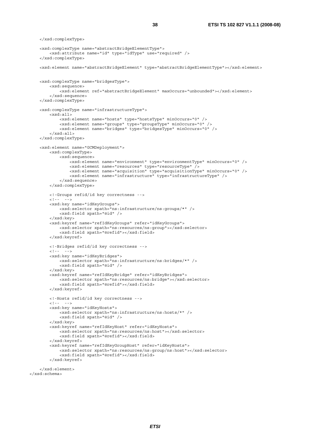```
 </xsd:complexType> 
 <xsd:complexType name="abstractBridgeElementType"> 
     <xsd:attribute name="id" type="idType" use="required" /> 
 </xsd:complexType> 
 <xsd:element name="abstractBridgeElement" type="abstractBridgeElementType"></xsd:element> 
 <xsd:complexType name="bridgesType"> 
     <xsd:sequence> 
         <xsd:element ref="abstractBridgeElement" maxOccurs="unbounded"></xsd:element> 
     </xsd:sequence> 
 </xsd:complexType> 
 <xsd:complexType name="infrastructureType"> 
     <xsd:all> 
         <xsd:element name="hosts" type="hostsType" minOccurs="0" /> 
         <xsd:element name="groups" type="groupsType" minOccurs="0" /> 
         <xsd:element name="bridges" type="bridgesType" minOccurs="0" /> 
     </xsd:all> 
 </xsd:complexType> 
 <xsd:element name="GCMDeployment"> 
     <xsd:complexType> 
         <xsd:sequence> 
             <xsd:element name="environment" type="environmentType" minOccurs="0" /> 
              <xsd:element name="resources" type="resourceType" /> 
             <xsd:element name="acquisition" type="acquisitionType" minOccurs="0" /> 
             <xsd:element name="infrastructure" type="infrastructureType" /> 
         </xsd:sequence> 
     </xsd:complexType> 
     <!-Groups refid/id key correctness --> 
    \langle!-- -->
     <xsd:key name="idKeyGroups"> 
         <xsd:selector xpath="ns:infrastructure/ns:groups/*" /> 
         <xsd:field xpath="@id" /> 
     </xsd:key> 
     <xsd:keyref name="refIdKeyGroups" refer="idKeyGroups"> 
         <xsd:selector xpath="ns:resources/ns:group"></xsd:selector> 
         <xsd:field xpath="@refid"></xsd:field> 
     </xsd:keyref> 
     <!-Bridges refid/id key correctness --> 
    \lt! -- -->
     <xsd:key name="idKeyBridges"> 
         <xsd:selector xpath="ns:infrastructure/ns:bridges/*" /> 
         <xsd:field xpath="@id" /> 
     </xsd:key> 
     <xsd:keyref name="refIdKeyBridge" refer="idKeyBridges"> 
         <xsd:selector xpath="ns:resources/ns:bridge"></xsd:selector> 
         <xsd:field xpath="@refid"></xsd:field> 
     </xsd:keyref> 
     <!-Hosts refid/id key correctness --> 
    \langle!-- -->
     <xsd:key name="idKeyHosts"> 
         <xsd:selector xpath="ns:infrastructure/ns:hosts/*" /> 
         <xsd:field xpath="@id" /> 
     </xsd:key> 
     <xsd:keyref name="refIdKeyHost" refer="idKeyHosts"> 
         <xsd:selector xpath="ns:resources/ns:host"></xsd:selector> 
         <xsd:field xpath="@refid"></xsd:field> 
     </xsd:keyref> 
     <xsd:keyref name="refIdKeyGroupHost" refer="idKeyHosts"> 
         <xsd:selector xpath="ns:resources/ns:group/ns:host"></xsd:selector> 
         <xsd:field xpath="@refid"></xsd:field> 
     </xsd:keyref> 
 </xsd:element>
```

```
</xsd:schema>
```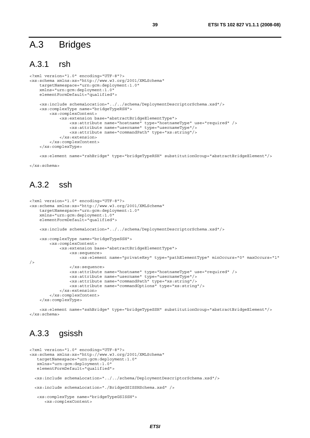# A.3 Bridges

### A.3.1 rsh

```
<?xml version="1.0" encoding="UTF-8"?> 
<xs:schema xmlns:xs="http://www.w3.org/2001/XMLSchema" 
    targetNamespace="urn:gcm:deployment:1.0" 
    xmlns="urn:gcm:deployment:1.0" 
    elementFormDefault="qualified"> 
    <xs:include schemaLocation="../../schema/DeploymentDescriptorSchema.xsd"/> 
    <xs:complexType name="bridgeTypeRSH"> 
         <xs:complexContent> 
            <xs:extension base="abstractBridgeElementType"> 
 <xs:attribute name="hostname" type="hostnameType" use="required" /> 
 <xs:attribute name="username" type="usernameType"/> 
                 <xs:attribute name="commandPath" type="xs:string"/> 
             </xs:extension> 
         </xs:complexContent> 
    </xs:complexType>
```
<xs:element name="rshBridge" type="bridgeTypeRSH" substitutionGroup="abstractBridgeElement"/>

</xs:schema>

### A.3.2 ssh

```
<?xml version="1.0" encoding="UTF-8"?> 
<xs:schema xmlns:xs="http://www.w3.org/2001/XMLSchema" 
     targetNamespace="urn:gcm:deployment:1.0" 
     xmlns="urn:gcm:deployment:1.0" 
     elementFormDefault="qualified"> 
     <xs:include schemaLocation="../../schema/DeploymentDescriptorSchema.xsd"/> 
     <xs:complexType name="bridgeTypeSSH"> 
         <xs:complexContent> 
             <xs:extension base="abstractBridgeElementType"> 
                 <xs:sequence> 
                      <xs:element name="privateKey" type="pathElementType" minOccurs="0" maxOccurs="1" 
/> 
                 </xs:sequence> 
                 <xs:attribute name="hostname" type="hostnameType" use="required" /> 
                <xs:attribute name="username" type="usernameType"/>
                 <xs:attribute name="commandPath" type="xs:string"/> 
                  <xs:attribute name="commandOptions" type="xs:string"/> 
             </xs:extension> 
         </xs:complexContent> 
     </xs:complexType>
```
 <xs:element name="sshBridge" type="bridgeTypeSSH" substitutionGroup="abstractBridgeElement"/> </xs:schema>

### A.3.3 gsissh

```
<?xml version="1.0" encoding="UTF-8"?> 
<xs:schema xmlns:xs="http://www.w3.org/2001/XMLSchema" 
    targetNamespace="urn:gcm:deployment:1.0" 
   xmlns="urn:gcm:deployment:1.0" 
  elementFormDefault="qualified">
   <xs:include schemaLocation="../../schema/DeploymentDescriptorSchema.xsd"/> 
   <xs:include schemaLocation="./BridgeGSISSHSchema.xsd" /> 
    <xs:complexType name="bridgeTypeGSISSH">
```

```
 <xs:complexContent>
```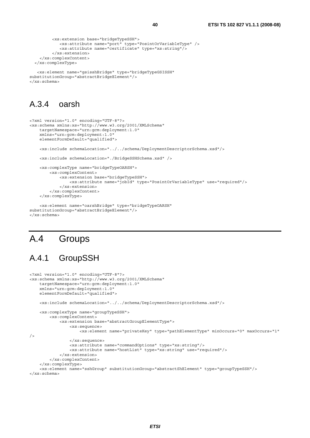```
 <xs:extension base="bridgeTypeSSH"> 
           <xs:attribute name="port" type="PosintOrVariableType" /> 
           <xs:attribute name="certificate" type="xs:string"/> 
        </xs:extension> 
   </xs:complexContent> 
 </xs:complexType>
```

```
 <xs:element name="gsisshBridge" type="bridgeTypeGSISSH" 
substitutionGroup="abstractBridgeElement"/> 
</xs:schema>
```
### A.3.4 oarsh

```
<?xml version="1.0" encoding="UTF-8"?> 
<xs:schema xmlns:xs="http://www.w3.org/2001/XMLSchema" 
     targetNamespace="urn:gcm:deployment:1.0" 
     xmlns="urn:gcm:deployment:1.0" 
     elementFormDefault="qualified"> 
     <xs:include schemaLocation="../../schema/DeploymentDescriptorSchema.xsd"/> 
     <xs:include schemaLocation="./BridgeSSHSchema.xsd" /> 
     <xs:complexType name="bridgeTypeOARSH"> 
         <xs:complexContent> 
             <xs:extension base="bridgeTypeSSH"> 
                  <xs:attribute name="jobId" type="PosintOrVariableType" use="required"/> 
             </xs:extension> 
         </xs:complexContent> 
     </xs:complexType> 
     <xs:element name="oarshBridge" type="bridgeTypeOARSH" 
substitutionGroup="abstractBridgeElement"/> 
</xs:schema>
```
# A.4 Groups

### A.4.1 GroupSSH

```
<?xml version="1.0" encoding="UTF-8"?> 
<xs:schema xmlns:xs="http://www.w3.org/2001/XMLSchema" 
     targetNamespace="urn:gcm:deployment:1.0" 
     xmlns="urn:gcm:deployment:1.0" 
     elementFormDefault="qualified"> 
     <xs:include schemaLocation="../../schema/DeploymentDescriptorSchema.xsd"/> 
     <xs:complexType name="groupTypeSSH"> 
         <xs:complexContent> 
             <xs:extension base="abstractGroupElementType"> 
                 <xs:sequence> 
                      <xs:element name="privateKey" type="pathElementType" minOccurs="0" maxOccurs="1" 
/ </xs:sequence> 
                 <xs:attribute name="commandOptions" type="xs:string"/> 
                  <xs:attribute name="hostList" type="xs:string" use="required"/> 
             </xs:extension> 
         </xs:complexContent> 
     </xs:complexType> 
     <xs:element name="sshGroup" substitutionGroup="abstractShElement" type="groupTypeSSH"/> 
</xs:schema>
```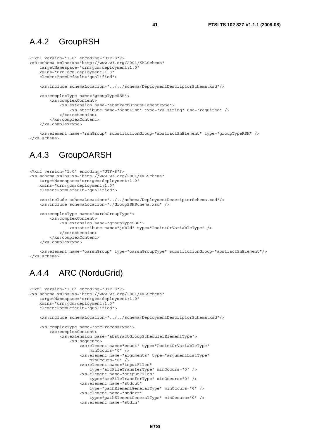### A.4.2 GroupRSH

```
<?xml version="1.0" encoding="UTF-8"?> 
<xs:schema xmlns:xs="http://www.w3.org/2001/XMLSchema" 
     targetNamespace="urn:gcm:deployment:1.0" 
     xmlns="urn:gcm:deployment:1.0" 
     elementFormDefault="qualified"> 
     <xs:include schemaLocation="../../schema/DeploymentDescriptorSchema.xsd"/> 
     <xs:complexType name="groupTypeRSH"> 
         <xs:complexContent> 
             <xs:extension base="abstractGroupElementType"> 
                 <xs:attribute name="hostList" type="xs:string" use="required" /> 
             </xs:extension> 
         </xs:complexContent> 
     </xs:complexType>
```
 <xs:element name="rshGroup" substitutionGroup="abstractShElement" type="groupTypeRSH" /> </xs:schema>

### A.4.3 GroupOARSH

```
<?xml version="1.0" encoding="UTF-8"?> 
<xs:schema xmlns:xs="http://www.w3.org/2001/XMLSchema" 
     targetNamespace="urn:gcm:deployment:1.0" 
     xmlns="urn:gcm:deployment:1.0" 
    elementFormDefault="qualified">
     <xs:include schemaLocation="../../schema/DeploymentDescriptorSchema.xsd"/> 
     <xs:include schemaLocation="./GroupSSHSchema.xsd" /> 
     <xs:complexType name="oarshGroupType"> 
         <xs:complexContent> 
             <xs:extension base="groupTypeSSH"> 
                 <xs:attribute name="jobId" type="PosintOrVariableType" /> 
             </xs:extension> 
         </xs:complexContent> 
     </xs:complexType>
```
 <xs:element name="oarshGroup" type="oarshGroupType" substitutionGroup="abstractShElement"/> </xs:schema>

### A.4.4 ARC (NorduGrid)

```
<?xml version="1.0" encoding="UTF-8"?> 
<xs:schema xmlns:xs="http://www.w3.org/2001/XMLSchema" 
     targetNamespace="urn:gcm:deployment:1.0" 
     xmlns="urn:gcm:deployment:1.0" 
     elementFormDefault="qualified"> 
     <xs:include schemaLocation="../../schema/DeploymentDescriptorSchema.xsd"/> 
     <xs:complexType name="arcProcessType"> 
         <xs:complexContent> 
             <xs:extension base="abstractGroupSchedulerElementType"> 
                  <xs:sequence> 
                      <xs:element name="count" type="PosintOrVariableType" 
                          minOccurs="0" /> 
                      <xs:element name="arguments" type="argumentListType" 
                          minOccurs="0" /> 
                      <xs:element name="inputFiles" 
                         type="arcFileTransferType" minOccurs="0" /> 
                      <xs:element name="outputFiles" 
                          type="arcFileTransferType" minOccurs="0" /> 
                      <xs:element name="stdout" 
                          type="pathElementGeneralType" minOccurs="0" /> 
                      <xs:element name="stderr" 
                          type="pathElementGeneralType" minOccurs="0" /> 
                      <xs:element name="stdin"
```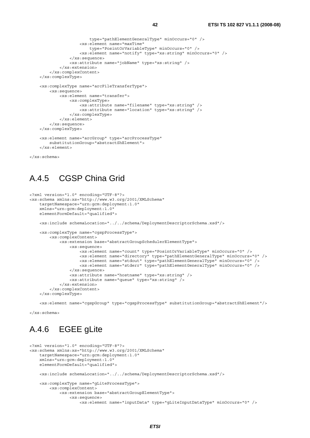```
 type="pathElementGeneralType" minOccurs="0" /> 
                  <xs:element name="maxTime" 
                      type="PosintOrVariableType" minOccurs="0" /> 
                  <xs:element name="notify" type="xs:string" minOccurs="0" /> 
              </xs:sequence> 
              <xs:attribute name="jobName" type="xs:string" /> 
         </xs:extension> 
     </xs:complexContent> 
 </xs:complexType> 
 <xs:complexType name="arcFileTransferType"> 
     <xs:sequence> 
         <xs:element name="transfer"> 
              <xs:complexType> 
                  <xs:attribute name="filename" type="xs:string" /> 
                  <xs:attribute name="location" type="xs:string" /> 
              </xs:complexType> 
         </xs:element> 
     </xs:sequence> 
 </xs:complexType> 
 <xs:element name="arcGroup" type="arcProcessType" 
     substitutionGroup="abstractShElement"> 
 </xs:element>
```
</xs:schema>

### A.4.5 CGSP China Grid

```
<?xml version="1.0" encoding="UTF-8"?> 
<xs:schema xmlns:xs="http://www.w3.org/2001/XMLSchema" 
     targetNamespace="urn:gcm:deployment:1.0" 
     xmlns="urn:gcm:deployment:1.0" 
     elementFormDefault="qualified"> 
     <xs:include schemaLocation="../../schema/DeploymentDescriptorSchema.xsd"/> 
     <xs:complexType name="cgspProcessType"> 
         <xs:complexContent> 
             <xs:extension base="abstractGroupSchedulerElementType"> 
                 <xs:sequence> 
                      <xs:element name="count" type="PosintOrVariableType" minOccurs="0" /> 
                      <xs:element name="directory" type="pathElementGeneralType" minOccurs="0" /> 
                      <xs:element name="stdout" type="pathElementGeneralType" minOccurs="0" /> 
                      <xs:element name="stderr" type="pathElementGeneralType" minOccurs="0" /> 
                 </xs:sequence> 
                 <xs:attribute name="hostname" type="xs:string" /> 
                 <xs:attribute name="queue" type="xs:string" /> 
             </xs:extension> 
         </xs:complexContent> 
     </xs:complexType>
```
<xs:element name="cgspGroup" type="cgspProcessType" substitutionGroup="abstractShElement"/>

</xs:schema>

### A.4.6 EGEE gLite

```
<?xml version="1.0" encoding="UTF-8"?> 
<xs:schema xmlns:xs="http://www.w3.org/2001/XMLSchema" 
    targetNamespace="urn:gcm:deployment:1.0" 
     xmlns="urn:gcm:deployment:1.0" 
     elementFormDefault="qualified"> 
     <xs:include schemaLocation="../../schema/DeploymentDescriptorSchema.xsd"/> 
     <xs:complexType name="gLiteProcessType"> 
         <xs:complexContent> 
             <xs:extension base="abstractGroupElementType"> 
                 <xs:sequence> 
                     <xs:element name="inputData" type="gLiteInputDataType" minOccurs="0" />
```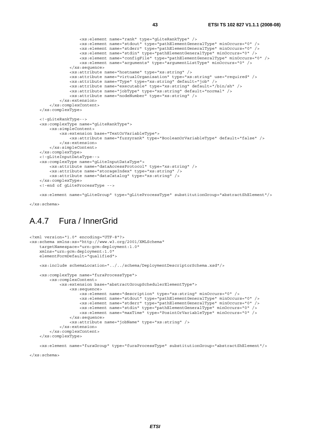```
 <xs:element name="rank" type="gLiteRankType" /> 
 <xs:element name="stdout" type="pathElementGeneralType" minOccurs="0" /> 
 <xs:element name="stderr" type="pathElementGeneralType" minOccurs="0" /> 
                     <xs:element name="stdin" type="pathElementGeneralType" minOccurs="0" /> 
                     <xs:element name="configFile" type="pathElementGeneralType" minOccurs="0" /> 
                     <xs:element name="arguments" type="argumentListType" minOccurs="0" /> 
                 </xs:sequence> 
                 <xs:attribute name="hostname" type="xs:string" /> 
                 <xs:attribute name="virtualOrganisation" type="xs:string" use="required" /> 
                 <xs:attribute name="Type" type="xs:string" default="job" /> 
                 <xs:attribute name="executable" type="xs:string" default="/bin/sh" /> 
                 <xs:attribute name="jobType" type="xs:string" default="normal" /> 
                 <xs:attribute name="nodeNumber" type="xs:string" /> 
             </xs:extension> 
        </xs:complexContent> 
    </xs:complexType> 
    <!-gLiteRankType--> 
    <xs:complexType name="gLiteRankType"> 
        <xs:simpleContent> 
            <xs:extension base="TextOrVariableType"> 
                 <xs:attribute name="fuzzyrank" type="BooleanOrVariableType" default="false" /> 
            </xs:extension> 
        </xs:simpleContent> 
    </xs:complexType> 
    <!-gLiteInputDataType--> 
    <xs:complexType name="gLiteInputDataType"> 
         <xs:attribute name="dataAccessProtocol" type="xs:string" /> 
        <xs:attribute name="storageIndex" type="xs:string" /> 
        <xs:attribute name="dataCatalog" type="xs:string" /> 
    </xs:complexType> 
    <!-end of gLiteProcessType -->
```
<xs:element name="gLiteGroup" type="gLiteProcessType" substitutionGroup="abstractShElement"/>

</xs:schema>

### A.4.7 Fura / InnerGrid

```
<?xml version="1.0" encoding="UTF-8"?> 
<xs:schema xmlns:xs="http://www.w3.org/2001/XMLSchema" 
    targetNamespace="urn:gcm:deployment:1.0" 
    xmlns="urn:gcm:deployment:1.0" 
    elementFormDefault="qualified"> 
    <xs:include schemaLocation="../../schema/DeploymentDescriptorSchema.xsd"/> 
    <xs:complexType name="furaProcessType"> 
         <xs:complexContent> 
             <xs:extension base="abstractGroupSchedulerElementType"> 
                 <xs:sequence> 
                     <xs:element name="description" type="xs:string" minOccurs="0" /> 
 <xs:element name="stdout" type="pathElementGeneralType" minOccurs="0" /> 
 <xs:element name="stderr" type="pathElementGeneralType" minOccurs="0" /> 
                     <xs:element name="stdin" type="pathElementGeneralType" minOccurs="0" /> 
                     <xs:element name="maxTime" type="PosintOrVariableType" minOccurs="0" /> 
                \epsilon/xs\cdotsequence>
                 <xs:attribute name="jobName" type="xs:string" /> 
             </xs:extension> 
         </xs:complexContent> 
    </xs:complexType>
```
<xs:element name="furaGroup" type="furaProcessType" substitutionGroup="abstractShElement"/>

</xs:schema>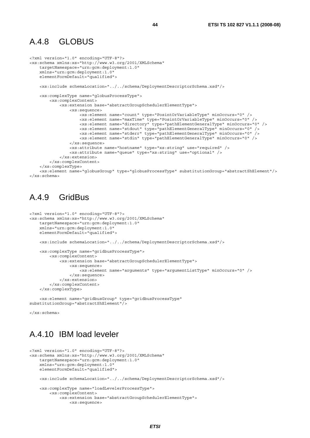### A.4.8 GLOBUS

```
<?xml version="1.0" encoding="UTF-8"?> 
<xs:schema xmlns:xs="http://www.w3.org/2001/XMLSchema" 
     targetNamespace="urn:gcm:deployment:1.0" 
     xmlns="urn:gcm:deployment:1.0" 
     elementFormDefault="qualified"> 
     <xs:include schemaLocation="../../schema/DeploymentDescriptorSchema.xsd"/> 
     <xs:complexType name="globusProcessType"> 
         <xs:complexContent> 
             <xs:extension base="abstractGroupSchedulerElementType"> 
                 <xs:sequence> 
                     <xs:element name="count" type="PosintOrVariableType" minOccurs="0" /> 
                      <xs:element name="maxTime" type="PosintOrVariableType" minOccurs="0" /> 
                     <xs:element name="directory" type="pathElementGeneralType" minOccurs="0" /> 
                     <xs:element name="stdout" type="pathElementGeneralType" minOccurs="0" /> 
                      <xs:element name="stderr" type="pathElementGeneralType" minOccurs="0" /> 
                      <xs:element name="stdin" type="pathElementGeneralType" minOccurs="0" /> 
                 </xs:sequence> 
                 <xs:attribute name="hostname" type="xs:string" use="required" /> 
                 <xs:attribute name="queue" type="xs:string" use="optional" /> 
             </xs:extension> 
         </xs:complexContent> 
     </xs:complexType> 
     <xs:element name="globusGroup" type="globusProcessType" substitutionGroup="abstractShElement"/> 
z/xe:echema
```
### A.4.9 GridBus

```
<?xml version="1.0" encoding="UTF-8"?> 
<xs:schema xmlns:xs="http://www.w3.org/2001/XMLSchema" 
     targetNamespace="urn:gcm:deployment:1.0" 
     xmlns="urn:gcm:deployment:1.0" 
     elementFormDefault="qualified"> 
     <xs:include schemaLocation="../../schema/DeploymentDescriptorSchema.xsd"/> 
     <xs:complexType name="gridbusProcessType"> 
         <xs:complexContent> 
             <xs:extension base="abstractGroupSchedulerElementType"> 
                  <xs:sequence> 
                     <xs:element name="arguments" type="argumentListType" minOccurs="0" /> 
                  </xs:sequence> 
             </xs:extension> 
         </xs:complexContent> 
     </xs:complexType>
```
 <xs:element name="gridbusGroup" type="gridbusProcessType" substitutionGroup="abstractShElement"/>

</xs:schema>

### A.4.10 IBM load leveler

```
<?xml version="1.0" encoding="UTF-8"?> 
<xs:schema xmlns:xs="http://www.w3.org/2001/XMLSchema" 
     targetNamespace="urn:gcm:deployment:1.0" 
     xmlns="urn:gcm:deployment:1.0" 
     elementFormDefault="qualified"> 
     <xs:include schemaLocation="../../schema/DeploymentDescriptorSchema.xsd"/> 
     <xs:complexType name="loadLevelerProcessType"> 
         <xs:complexContent> 
             <xs:extension base="abstractGroupSchedulerElementType"> 
                 <xs:sequence>
```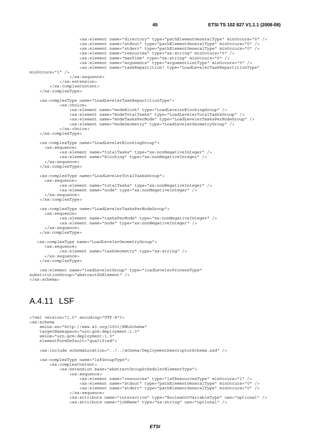```
 <xs:element name="directory" type="pathElementGeneralType" minOccurs="0" /> 
 <xs:element name="stdout" type="pathElementGeneralType" minOccurs="0" /> 
 <xs:element name="stderr" type="pathElementGeneralType" minOccurs="0" /> 
                     <xs:element name="resources" type="xs:string" minOccurs="0" /> 
                     <xs:element name="maxTime" type="xs:string" minOccurs="0" /> 
                     <xs:element name="arguments" type="argumentListType" minOccurs="0" /> 
                     <xs:element name="taskRepartition" type="LoadLevelerTaskRepartitionType" 
minOccurs="1" /> 
                 </xs:sequence> 
             </xs:extension> 
         </xs:complexContent> 
     </xs:complexType> 
     <xs:complexType name="LoadLevelerTaskRepartitionType"> 
             <xs:choice> 
                 <xs:element name="modeBlock" type="LoadLevelerBlockingGroup" /> 
                 <xs:element name="modeTotalTasks" type="LoadLevelerTotalTasksGroup" /> 
                 <xs:element name="modeTasksPerNode" type="LoadLevelerTasksPerNodeGroup" /> 
                 <xs:element name="modeGeometry" type="LoadLevelerGeometryGroup" /> 
             </xs:choice> 
     </xs:complexType> 
     <xs:complexType name="LoadLevelerBlockingGroup"> 
       <xs:sequence> 
             <xs:element name="totalTasks" type="xs:nonNegativeInteger" /> 
             <xs:element name="blocking" type="xs:nonNegativeInteger" /> 
       </xs:sequence> 
     </xs:complexType> 
     <xs:complexType name="LoadLevelerTotalTasksGroup"> 
       <xs:sequence> 
             <xs:element name="totalTasks" type="xs:nonNegativeInteger" /> 
             <xs:element name="node" type="xs:nonNegativeInteger" /> 
       </xs:sequence> 
     </xs:complexType> 
     <xs:complexType name="LoadLevelerTasksPerNodeGroup"> 
       <xs:sequence> 
             <xs:element name="tasksPerNode" type="xs:nonNegativeInteger" /> 
             <xs:element name="node" type="xs:nonNegativeInteger" /> 
       </xs:sequence> 
     </xs:complexType> 
    <xs:complexType name="LoadLevelerGeometryGroup"> 
       <xs:sequence> 
             <xs:element name="taskGeometry" type="xs:string" /> 
       </xs:sequence> 
     </xs:complexType> 
     <xs:element name="loadLevelerGroup" type="loadLevelerProcessType" 
substitutionGroup="abstractShElement" /> 
</xs:schema> 
A.4.11 LSF 
<?xml version="1.0" encoding="UTF-8"?> 
<xs:schema 
     xmlns:xs="http://www.w3.org/2001/XMLSchema" 
     targetNamespace="urn:gcm:deployment:1.0" 
     xmlns="urn:gcm:deployment:1.0" 
    elementFormDefault="qualified">
     <xs:include schemaLocation="../../schema/DeploymentDescriptorSchema.xsd" /> 
     <xs:complexType name="lsfGroupType"> 
         <xs:complexContent> 
             <xs:extension base="abstractGroupSchedulerElementType"> 
                 <xs:sequence> 
                     <xs:element name="resources" type="lsfResourcesType" minOccurs="1" /> 
                     <xs:element name="stdout" type="pathElementGeneralType" minOccurs="0" /> 
                      <xs:element name="stderr" type="pathElementGeneralType" minOccurs="0" /> 
                 </xs:sequence> 
                 <xs:attribute name="interactive" type="BooleanOrVariableType" use="optional" /> 
                 <xs:attribute name="jobName" type="xs:string" use="optional" />
```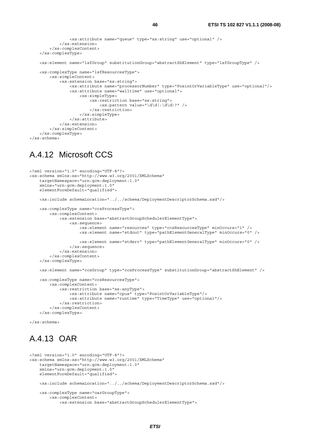```
 <xs:attribute name="queue" type="xs:string" use="optional" /> 
         </xs:extension> 
     </xs:complexContent> 
 </xs:complexType> 
 <xs:element name="lsfGroup" substitutionGroup="abstractShElement" type="lsfGroupType" /> 
 <xs:complexType name="lsfResourcesType"> 
     <xs:simpleContent> 
         <xs:extension base="xs:string"> 
              <xs:attribute name="processorNumber" type="PosintOrVariableType" use="optional"/> 
              <xs:attribute name="walltime" use="optional"> 
                  <xs:simpleType> 
                      <xs:restriction base="xs:string"> 
                          \langle x \rangles:pattern value="\d\d(:\d\d)?" />
                      </xs:restriction> 
                  </xs:simpleType> 
              </xs:attribute> 
         </xs:extension> 
     </xs:simpleContent> 
 </xs:complexType>
```
</xs:schema>

### A.4.12 Microsoft CCS

```
<?xml version="1.0" encoding="UTF-8"?> 
<xs:schema xmlns:xs="http://www.w3.org/2001/XMLSchema" 
     targetNamespace="urn:gcm:deployment:1.0" 
     xmlns="urn:gcm:deployment:1.0" 
     elementFormDefault="qualified"> 
     <xs:include schemaLocation="../../schema/DeploymentDescriptorSchema.xsd"/> 
     <xs:complexType name="ccsProcessType"> 
         <xs:complexContent> 
             <xs:extension base="abstractGroupSchedulerElementType"> 
                 <xs:sequence> 
                      <xs:element name="resources" type="ccsResourcesType" minOccurs="1" /> 
                      <xs:element name="stdout" type="pathElementGeneralType" minOccurs="0" /> 
                      <xs:element name="stderr" type="pathElementGeneralType" minOccurs="0" /> 
                 </xs:sequence> 
             </xs:extension> 
         </xs:complexContent> 
     </xs:complexType> 
     <xs:element name="ccsGroup" type="ccsProcessType" substitutionGroup="abstractShElement" /> 
     <xs:complexType name="ccsResourcesType"> 
         <xs:complexContent> 
             <xs:restriction base="xs:anyType"> 
                 <xs:attribute name="cpus" type="PosintOrVariableType"/> 
                 <xs:attribute name="runtime" type="TimeType" use="optional"/> 
             </xs:restriction> 
         </xs:complexContent> 
     </xs:complexType>
```

```
</xs:schema>
```
### A.4.13 OAR

```
<?xml version="1.0" encoding="UTF-8"?> 
<xs:schema xmlns:xs="http://www.w3.org/2001/XMLSchema" 
     targetNamespace="urn:gcm:deployment:1.0" 
     xmlns="urn:gcm:deployment:1.0" 
    elementFormDefault="qualified">
```
<xs:include schemaLocation="../../schema/DeploymentDescriptorSchema.xsd"/>

```
 <xs:complexType name="oarGroupType"> 
     <xs:complexContent> 
         <xs:extension base="abstractGroupSchedulerElementType">
```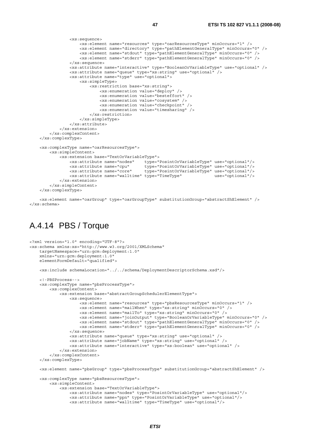```
 <xs:sequence> 
                  <xs:element name="resources" type="oarResourcesType" minOccurs="1" /> 
                  <xs:element name="directory" type="pathElementGeneralType" minOccurs="0" /> 
                  <xs:element name="stdout" type="pathElementGeneralType" minOccurs="0" /> 
                  <xs:element name="stderr" type="pathElementGeneralType" minOccurs="0" /> 
              </xs:sequence> 
              <xs:attribute name="interactive" type="BooleanOrVariableType" use="optional" /> 
              <xs:attribute name="queue" type="xs:string" use="optional" /> 
              <xs:attribute name="type" use="optional"> 
                  <xs:simpleType> 
                      <xs:restriction base="xs:string"> 
                           <xs:enumeration value="deploy" /> 
                           <xs:enumeration value="besteffort" /> 
                           <xs:enumeration value="cosystem" /> 
                           <xs:enumeration value="checkpoint" /> 
                           <xs:enumeration value="timesharing" /> 
                      </xs:restriction> 
                  </xs:simpleType> 
              </xs:attribute> 
         </xs:extension> 
     </xs:complexContent> 
 </xs:complexType> 
 <xs:complexType name="oarResourcesType"> 
     <xs:simpleContent> 
         <xs:extension base="TextOrVariableType"> 
              <xs:attribute name="nodes" type="PosintOrVariableType" use="optional"/> 
              <xs:attribute name="cpu" type="PosintOrVariableType" use="optional"/> 
                                             --<br>type="PosintOrVariableType" use="optional"/><br>type="TimeType" use="optional"/>
             \langle x \rangle -xs:attribute name="walltime" type="TimeType"
         </xs:extension> 
     </xs:simpleContent> 
 </xs:complexType>
```
 <xs:element name="oarGroup" type="oarGroupType" substitutionGroup="abstractShElement" /> </xs:schema>

### A.4.14 PBS / Torque

```
<?xml version="1.0" encoding="UTF-8"?> 
<xs:schema xmlns:xs="http://www.w3.org/2001/XMLSchema" 
     targetNamespace="urn:gcm:deployment:1.0" 
     xmlns="urn:gcm:deployment:1.0" 
     elementFormDefault="qualified"> 
     <xs:include schemaLocation="../../schema/DeploymentDescriptorSchema.xsd"/> 
     <!-PBSProcess--> 
     <xs:complexType name="pbsProcessType"> 
         <xs:complexContent> 
             <xs:extension base="abstractGroupSchedulerElementType"> 
                 <xs:sequence> 
                     <xs:element name="resources" type="pbsResourcesType" minOccurs="1" /> 
                     <xs:element name="mailWhen" type="xs:string" minOccurs="0" /> 
                     <xs:element name="mailTo" type="xs:string" minOccurs="0" /> 
                     <xs:element name="joinOutput" type="BooleanOrVariableType" minOccurs="0" /> 
                     <xs:element name="stdout" type="pathElementGeneralType" minOccurs="0" /> 
                     <xs:element name="stderr" type="pathElementGeneralType" minOccurs="0" /> 
                 </xs:sequence> 
 <xs:attribute name="queue" type="xs:string" use="optional" /> 
 <xs:attribute name="jobName" type="xs:string" use="optional" /> 
                 <xs:attribute name="interactive" type="xs:boolean" use="optional" /> 
             </xs:extension> 
         </xs:complexContent> 
     </xs:complexType> 
     <xs:element name="pbsGroup" type="pbsProcessType" substitutionGroup="abstractShElement" /> 
     <xs:complexType name="pbsResourcesType"> 
         <xs:simpleContent> 
             <xs:extension base="TextOrVariableType"> 
                 <xs:attribute name="nodes" type="PosintOrVariableType" use="optional"/> 
                 <xs:attribute name="ppn" type="PosintOrVariableType" use="optional"/> 
                 <xs:attribute name="walltime" type="TimeType" use="optional"/>
```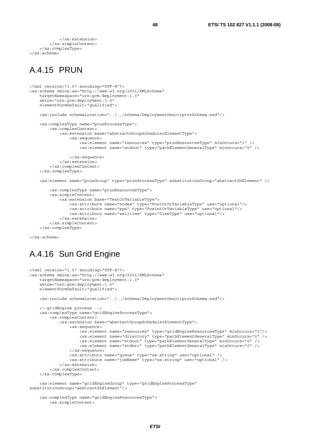</xs:extension> </xs:simpleContent> </xs:complexType> </xs:schema>

## A.4.15 PRUN

```
<?xml version="1.0" encoding="UTF-8"?> 
<xs:schema xmlns:xs="http://www.w3.org/2001/XMLSchema" 
     targetNamespace="urn:gcm:deployment:1.0" 
     xmlns="urn:gcm:deployment:1.0" 
     elementFormDefault="qualified"> 
     <xs:include schemaLocation="../../schema/DeploymentDescriptorSchema.xsd"/> 
     <xs:complexType name="prunProcessType"> 
         <xs:complexContent> 
             <xs:extension base="abstractGroupSchedulerElementType"> 
                 <xs:sequence> 
                      <xs:element name="resources" type="prunResourcesType" minOccurs="1" /> 
                      <xs:element name="stdout" type="pathElementGeneralType" minOccurs="0" /> 
                 </xs:sequence> 
             </xs:extension> 
         </xs:complexContent> 
     </xs:complexType> 
     <xs:element name="prunGroup" type="prunProcessType" substitutionGroup="abstractShElement" /> 
         <xs:complexType name="prunResourcesType"> 
         <xs:simpleContent> 
             <xs:extension base="TextOrVariableType"> 
                 <xs:attribute name="nodes" type="PosintOrVariableType" use="optional"/> 
                 <xs:attribute name="ppn" type="PosintOrVariableType" use="optional"/> 
                 <xs:attribute name="walltime" type="TimeType" use="optional"/> 
             </xs:extension> 
         </xs:simpleContent> 
     </xs:complexType>
```
</xs:schema>

### A.4.16 Sun Grid Engine

```
<?xml version="1.0" encoding="UTF-8"?> 
<xs:schema xmlns:xs="http://www.w3.org/2001/XMLSchema" 
     targetNamespace="urn:gcm:deployment:1.0" 
     xmlns="urn:gcm:deployment:1.0" 
     elementFormDefault="qualified"> 
     <xs:include schemaLocation="../../schema/DeploymentDescriptorSchema.xsd"/> 
     <!-gridEngine process --> 
     <xs:complexType name="gridEngineProcessType"> 
        x \cdot \text{complement} <xs:extension base="abstractGroupSchedulerElementType"> 
                 <xs:sequence> 
                     <xs:element name="resources" type="gridEngineResourcesType" minOccurs="1"/> 
                      <xs:element name="directory" type="pathElementGeneralType" minOccurs="0" /> 
                      <xs:element name="stdout" type="pathElementGeneralType" minOccurs="0" /> 
                      <xs:element name="stderr" type="pathElementGeneralType" minOccurs="0" /> 
                 </xs:sequence> 
                 <xs:attribute name="queue" type="xs:string" use="optional" /> 
                 <xs:attribute name="jobName" type="xs:string" use="optional" /> 
             </xs:extension> 
         </xs:complexContent> 
     </xs:complexType> 
     <xs:element name="gridEngineGroup" type="gridEngineProcessType"
```

```
substitutionGroup="abstractShElement"/>
```

```
 <xs:complexType name="gridEngineResourcesType"> 
     <xs:simpleContent>
```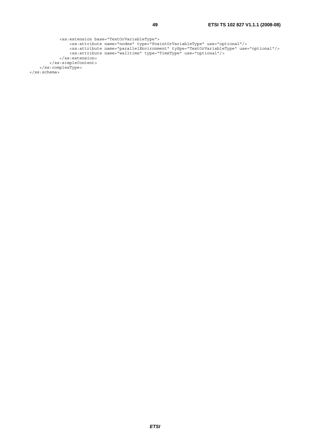```
 <xs:extension base="TextOrVariableType"> 
 <xs:attribute name="nodes" type="PosintOrVariableType" use="optional"/> 
 <xs:attribute name="parallelEnvironment" tySpe="TextOrVariableType" use="optional"/> 
 <xs:attribute name="walltime" type="TimeType" use="optional"/> 
           </xs:extension> 
       </xs:simpleContent> 
    </xs:complexType>
```
</xs:schema>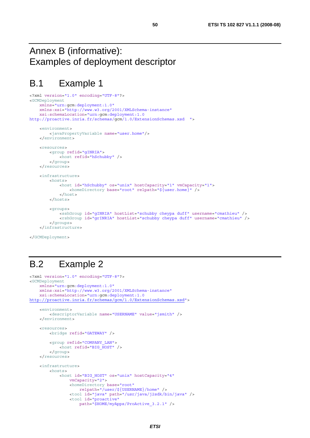### Annex B (informative): Examples of deployment descriptor

### B.1 Example 1

```
<?xml version="1.0" encoding="UTF-8"?> 
<GCMDeployment 
    xmlns="urn:gcm:deployment:1.0" 
    xmlns:xsi="http://www.w3.org/2001/XMLSchema-instance" 
    xsi:schemaLocation="urn:gcm:deployment:1.0 
http://proactive.inria.fr/schemas/gcm/1.0/ExtensionSchemas.xsd "> 
     <environment> 
         <javaPropertyVariable name="user.home"/> 
     </environment> 
     <resources> 
         <group refid="gINRIA"> 
             <host refid="hSchubby" /> 
         </group> 
    </resources>
     <infrastructure> 
         <hosts> 
             <host id="hSchubby" os="unix" hostCapacity="1" vmCapacity="1"> 
                 <homeDirectory base="root" relpath="${user.home}" /> 
             </host> 
         </hosts> 
         <groups> 
             <sshGroup id="gINRIA" hostList="schubby cheypa duff" username="cmathieu" /> 
             <rshGroup id="grINRIA" hostList="schubby cheypa duff" username="cmathieu" /> 
         </groups> 
     </infrastructure>
```
</GCMDeployment>

# B.2 Example 2

```
<?xml version="1.0" encoding="UTF-8"?> 
<GCMDeployment 
    xmlns="urn:gcm:deployment:1.0" 
    xmlns:xsi="http://www.w3.org/2001/XMLSchema-instance" 
    xsi:schemaLocation="urn:gcm:deployment:1.0 
http://proactive.inria.fr/schemas/gcm/1.0/ExtensionSchemas.xsd"> 
     <environment> 
         <descriptorVariable name="USERNAME" value="jsmith" /> 
     </environment> 
     <resources> 
         <bridge refid="GATEWAY" /> 
         <group refid="COMPANY_LAN"> 
             <host refid="BIG_HOST" /> 
         </group> 
     </resources> 
     <infrastructure> 
         <hosts> 
             <host id="BIG_HOST" os="unix" hostCapacity="4" 
                  vmCapacity="2"> 
                  <homeDirectory base="root" 
                      relpath="/user/${USERNAME}/home" /> 
                  <tool id="java" path="/usr/java/j2sdk/bin/java" /> 
                  <tool id="proactive" 
                     path="$HOME/myApps/ProActive 3.2.1" />
```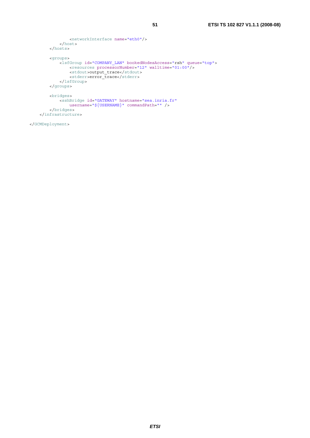```
 <stdout>output_trace</stdout> 
<stderr>error trace</stderr>
           </lsfGroup> 
       </groups> 
        <bridges> 
           <sshBridge id="GATEWAY" hostname="sea.inria.fr" 
              username="${USERNAME}" commandPath="" /> 
        </bridges> 
    </infrastructure>
```
</GCMDeployment>

 </host> </hosts> <groups>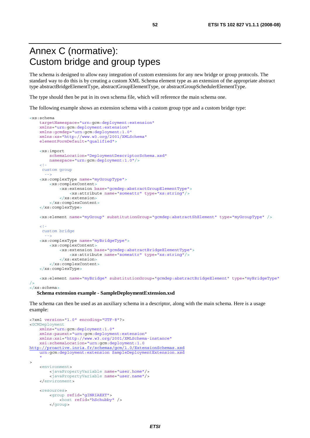# Annex C (normative): Custom bridge and group types

The schema is designed to allow easy integration of custom extensions for any new bridge or group protocols. The standard way to do this is by creating a custom XML Schema element type as an extension of the appropriate abstract type abstractBridgeElementType, abstractGroupElementType, or abstractGroupSchedulerElementType.

The type should then be put in its own schema file, which will reference the main schema one.

The following example shows an extension schema with a custom group type and a custom bridge type:

```
<xs:schema 
    targetNamespace="urn:gcm:deployment:extension" 
    xmlns="urn:gcm:deployment:extension" 
    xmlns:gcmdep="urn:gcm:deployment:1.0" 
    xmlns:xs="http://www.w3.org/2001/XMLSchema" 
    elementFormDefault="qualified"> 
    <xs:import 
         schemaLocation="DeploymentDescriptorSchema.xsd" 
         namespace="urn:gcm:deployment:1.0"/> 
    \geq 1 custom group 
 --> 
    <xs:complexType name="myGroupType"> 
         <xs:complexContent> 
             <xs:extension base="gcmdep:abstractGroupElementType"> 
                 <xs:attribute name="someattr" type="xs:string"/> 
             </xs:extension> 
         </xs:complexContent> 
    </xs:complexType> 
    <xs:element name="myGroup" substitutionGroup="gcmdep:abstractShElement" type="myGroupType" /> 
    \leq ! - custom bridge 
       --> 
    <xs:complexType name="myBridgeType"> 
         <xs:complexContent> 
             <xs:extension base="gcmdep:abstractBridgeElementType"> 
                 <xs:attribute name="someattr" type="xs:string"/> 
             </xs:extension> 
         </xs:complexContent> 
    </xs:complexType> 
    <xs:element name="myBridge" substitutionGroup="gcmdep:abstractBridgeElement" type="myBridgeType" 
/</xs:schema>
```
#### **Schema extension example - SampleDeploymentExtension.xsd**

The schema can then be used as an auxiliary schema in a descriptor, along with the main schema. Here is a usage example:

```
<?xml version="1.0" encoding="UTF-8"?> 
<GCMDeployment 
    xmlns="urn:gcm:deployment:1.0" 
    xmlns:pauext="urn:gcm:deployment:extension" 
    xmlns:xsi="http://www.w3.org/2001/XMLSchema-instance" 
    xsi:schemaLocation="urn:gcm:deployment:1.0 
http://proactive.inria.fr/schemas/gcm/1.0/ExtensionSchemas.xsd
     urn:gcm:deployment:extension SampleDeploymentExtension.xsd 
"" "" ""
> 
     <environment> 
         <javaPropertyVariable name="user.home"/> 
         <javaPropertyVariable name="user.name"/> 
     </environment> 
     <resources> 
         <group refid="gINRIAEXT"> 
             <host refid="hSchubby" /> 
         </group>
```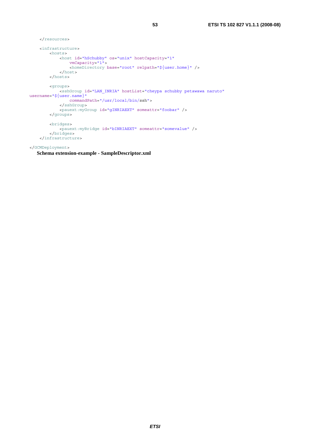```
</resources>
     <infrastructure> 
         <hosts> 
             <host id="hSchubby" os="unix" hostCapacity="1" 
                vmCapacity="1"> 
                 <homeDirectory base="root" relpath="${user.home}" /> 
             </host> 
         </hosts> 
         <groups> 
              <sshGroup id="LAN_INRIA" hostList="cheypa schubby petawawa naruto" 
username="${user.name}" 
                 commandPath="/usr/local/bin/ssh"> 
             </sshGroup> 
             <pauext:myGroup id="gINRIAEXT" someattr="foobar" /> 
         </groups> 
         <bridges> 
             <pauext:myBridge id="bINRIAEXT" someattr="somevalue" /> 
         </bridges> 
     </infrastructure>
```
#### </GCMDeployment>

#### **Schema extension-example - SampleDescriptor.xml**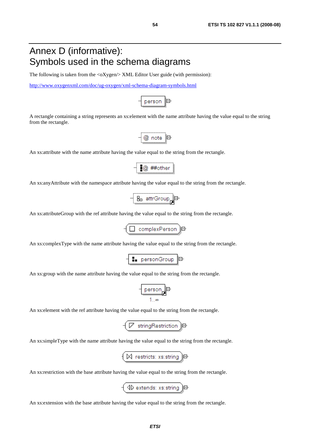# Annex D (informative): Symbols used in the schema diagrams

The following is taken from the <oXygen/> XML Editor User guide (with permission):

<http://www.oxygenxml.com/doc/ug-oxygen/xml-schema-diagram-symbols.html>



A rectangle containing a string represents an xs:element with the name attribute having the value equal to the string from the rectangle.

$$
\neg \text{ @ note} \quad \Box
$$

An xs:attribute with the name attribute having the value equal to the string from the rectangle.



An xs:anyAttribute with the namespace attribute having the value equal to the string from the rectangle.

$$
- \underbrace{\text{B}_{\text{D}} \text{ attrGroup}}_{\text{D}}
$$

An xs:attributeGroup with the ref attribute having the value equal to the string from the rectangle.

$$
\left(\begin{array}{c|c} \textbf{ComplexPerson} \\ \hline \textbf{ComplexPerson} \end{array}\right)
$$

An xs:complexType with the name attribute having the value equal to the string from the rectangle.

$$
\begin{array}{|c|c|c|}\n\hline\n\textbf{1} & \text{personGroup} & \textbf{P}\n\end{array}
$$

An xs:group with the name attribute having the value equal to the string from the rectangle.

$$
\begin{array}{c}\n\hline\n\text{person} \\
\hline\n1 \text{ m}\n\end{array}
$$

An xs:element with the ref attribute having the value equal to the string from the rectangle.

$$
\left(\overline{\mathbb{Z}}\ \text{stringRestriction}\right) \boxplus
$$

An xs:simpleType with the name attribute having the value equal to the string from the rectangle.

$$
\left(\text{M \text{ restricts: } x \text{s:string}}\right) \boxminus
$$

An xs:restriction with the base attribute having the value equal to the string from the rectangle.

{ 4D extends: xs:string } □

An xs:extension with the base attribute having the value equal to the string from the rectangle.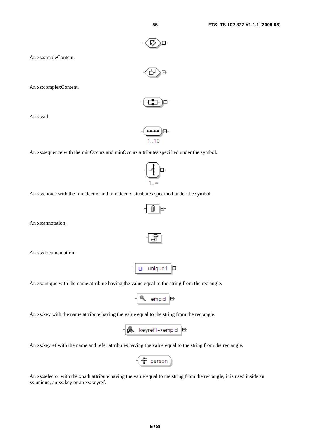

An xs:simpleContent.



An xs:complexContent.

$$
\frac{1}{2} \sum_{i=1}^{n} \frac{1}{i}
$$

An xs:all.

 $10$ 

An xs:sequence with the minOccurs and minOccurs attributes specified under the symbol.





An xs:annotation.

An xs:documentation.



An xs:unique with the name attribute having the value equal to the string from the rectangle.

$$
\begin{array}{|c|c|} \hline \textbf{A} & \text{empid} & \textbf{B} \\ \hline \end{array}
$$

An xs:key with the name attribute having the value equal to the string from the rectangle.

$$
-\begin{array}{|c|c|}\hline \textbf{R} & \text{keyref1}\text{-sempid} \\ \hline \end{array} \text{B}
$$

An xs:keyref with the name and refer attributes having the value equal to the string from the rectangle.

$$
\left(\underbrace{\text{F person}}\right)
$$

An xs:selector with the xpath attribute having the value equal to the string from the rectangle; it is used inside an xs:unique, an xs:key or an xs:keyref.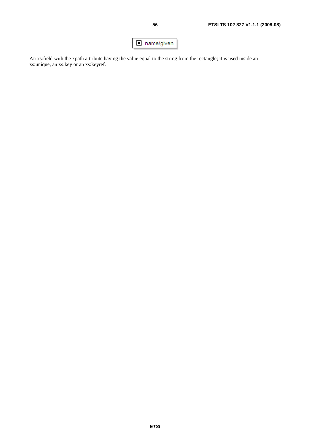

An xs:field with the xpath attribute having the value equal to the string from the rectangle; it is used inside an xs:unique, an xs:key or an xs:keyref.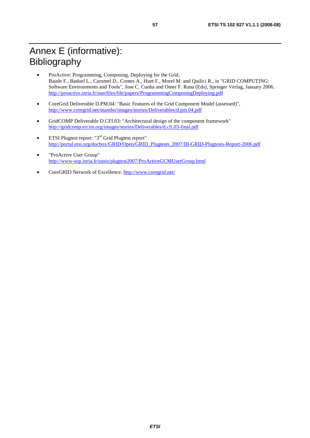# Annex E (informative): Bibliography

- ProActive: Programming, Composing, Deploying for the Grid, Baude F., Baduel L., Caromel D., Contes A., Huet F., Morel M. and Quilici R., in "GRID COMPUTING: Software Environments and Tools", Jose C. Cunha and Omer F. Rana (Eds), Springer Verlag, January 2006. <http://proactive.inria.fr/userfiles/file/papers/ProgrammingComposingDeploying.pdf>
- CoreGrid Deliverable D.PM.04: "Basic Features of the Grid Component Model (assessed)", <http://www.coregrid.net/mambo/images/stories/Deliverables/d.pm.04.pdf>
- GridCOMP Deliverable D.CFI.03: "Architectural design of the component framework" <http://gridcomp.ercim.org/images/stories/Deliverables/d.cfi.03-final.pdf>
- ETSI Plugtest report: "3<sup>rd</sup> Grid Plugtest report" [http://portal.etsi.org/docbox/GRID/Open/GRID\\_Plugtests\\_2007/III-GRID-Plugtests-Report-2006.pdf](http://portal.etsi.org/docbox/GRID/Open/GRID_Plugtests_2007/III-GRID-Plugtests-Report-2006.pdf)
- "ProActive User Group" <http://www-sop.inria.fr/oasis/plugtest2007/ProActiveGCMUserGroup.html>
- CoreGRID Network of Excellence. http://www.coregrid.net/